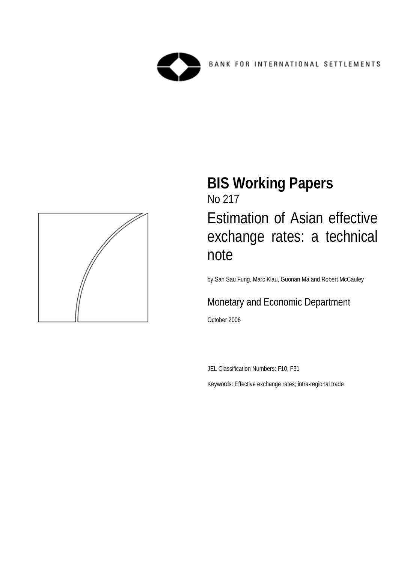



# **BIS Working Papers**  No 217 Estimation of Asian effective exchange rates: a technical note

by San Sau Fung, Marc Klau, Guonan Ma and Robert McCauley

## Monetary and Economic Department

October 2006

JEL Classification Numbers: F10, F31

Keywords: Effective exchange rates; intra-regional trade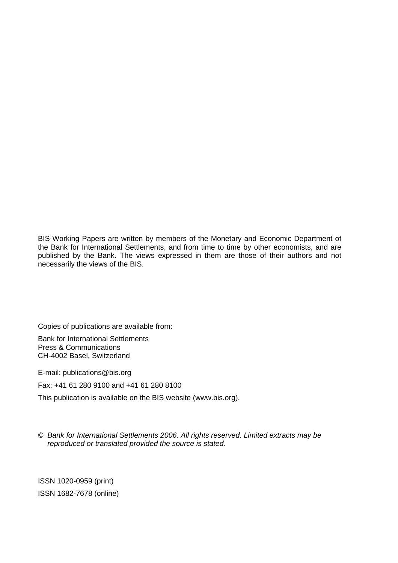BIS Working Papers are written by members of the Monetary and Economic Department of the Bank for International Settlements, and from time to time by other economists, and are published by the Bank. The views expressed in them are those of their authors and not necessarily the views of the BIS.

Copies of publications are available from:

Bank for International Settlements Press & Communications CH-4002 Basel, Switzerland

E-mail: publications@bis.org

Fax: +41 61 280 9100 and +41 61 280 8100

This publication is available on the BIS website (www.bis.org).

*© Bank for International Settlements 2006. All rights reserved. Limited extracts may be reproduced or translated provided the source is stated.* 

ISSN 1020-0959 (print) ISSN 1682-7678 (online)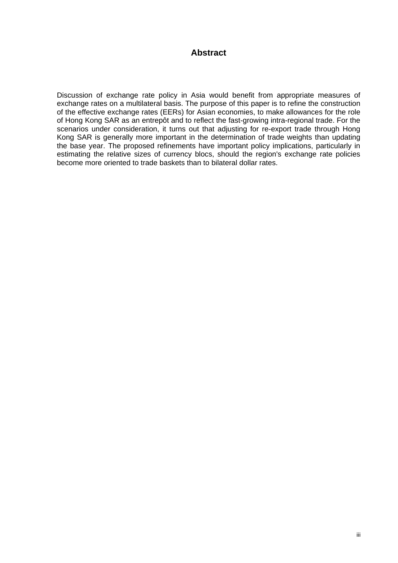## **Abstract**

Discussion of exchange rate policy in Asia would benefit from appropriate measures of exchange rates on a multilateral basis. The purpose of this paper is to refine the construction of the effective exchange rates (EERs) for Asian economies, to make allowances for the role of Hong Kong SAR as an entrepôt and to reflect the fast-growing intra-regional trade. For the scenarios under consideration, it turns out that adjusting for re-export trade through Hong Kong SAR is generally more important in the determination of trade weights than updating the base year. The proposed refinements have important policy implications, particularly in estimating the relative sizes of currency blocs, should the region's exchange rate policies become more oriented to trade baskets than to bilateral dollar rates.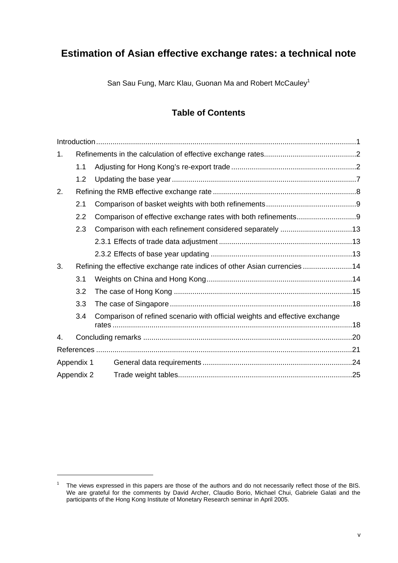## **Estimation of Asian effective exchange rates: a technical note**

San Sau Fung, Marc Klau, Guonan Ma and Robert McCauley<sup>1</sup>

## **Table of Contents**

| 1.         |                  |                                                                             |  |
|------------|------------------|-----------------------------------------------------------------------------|--|
|            | 1.1              |                                                                             |  |
|            | 1.2              |                                                                             |  |
| 2.         |                  |                                                                             |  |
|            | 2.1              |                                                                             |  |
|            | $2.2\phantom{0}$ |                                                                             |  |
|            | 2.3              | Comparison with each refinement considered separately 13                    |  |
|            |                  |                                                                             |  |
|            |                  |                                                                             |  |
| 3.         |                  | Refining the effective exchange rate indices of other Asian currencies 14   |  |
|            | 3.1              |                                                                             |  |
|            | 3.2              |                                                                             |  |
|            | 3.3              |                                                                             |  |
|            | 3.4              | Comparison of refined scenario with official weights and effective exchange |  |
| 4.         |                  |                                                                             |  |
|            |                  |                                                                             |  |
|            | Appendix 1       |                                                                             |  |
| Appendix 2 |                  |                                                                             |  |
|            |                  |                                                                             |  |

<sup>1</sup> The views expressed in this papers are those of the authors and do not necessarily reflect those of the BIS. We are grateful for the comments by David Archer, Claudio Borio, Michael Chui, Gabriele Galati and the participants of the Hong Kong Institute of Monetary Research seminar in April 2005.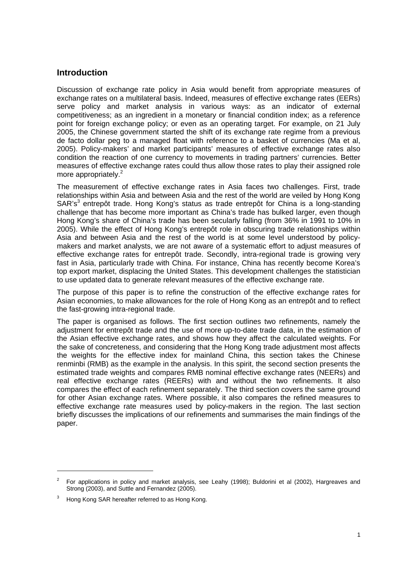## **Introduction**

Discussion of exchange rate policy in Asia would benefit from appropriate measures of exchange rates on a multilateral basis. Indeed, measures of effective exchange rates (EERs) serve policy and market analysis in various ways: as an indicator of external competitiveness; as an ingredient in a monetary or financial condition index; as a reference point for foreign exchange policy; or even as an operating target. For example, on 21 July 2005, the Chinese government started the shift of its exchange rate regime from a previous de facto dollar peg to a managed float with reference to a basket of currencies (Ma et al, 2005). Policy-makers' and market participants' measures of effective exchange rates also condition the reaction of one currency to movements in trading partners' currencies. Better measures of effective exchange rates could thus allow those rates to play their assigned role more appropriately.<sup>2</sup>

The measurement of effective exchange rates in Asia faces two challenges. First, trade relationships within Asia and between Asia and the rest of the world are veiled by Hong Kong SAR's<sup>3</sup> entrepôt trade. Hong Kong's status as trade entrepôt for China is a long-standing challenge that has become more important as China's trade has bulked larger, even though Hong Kong's share of China's trade has been secularly falling (from 36% in 1991 to 10% in 2005). While the effect of Hong Kong's entrepôt role in obscuring trade relationships within Asia and between Asia and the rest of the world is at some level understood by policymakers and market analysts, we are not aware of a systematic effort to adjust measures of effective exchange rates for entrepôt trade. Secondly, intra-regional trade is growing very fast in Asia, particularly trade with China. For instance, China has recently become Korea's top export market, displacing the United States. This development challenges the statistician to use updated data to generate relevant measures of the effective exchange rate.

The purpose of this paper is to refine the construction of the effective exchange rates for Asian economies, to make allowances for the role of Hong Kong as an entrepôt and to reflect the fast-growing intra-regional trade.

The paper is organised as follows. The first section outlines two refinements, namely the adjustment for entrepôt trade and the use of more up-to-date trade data, in the estimation of the Asian effective exchange rates, and shows how they affect the calculated weights. For the sake of concreteness, and considering that the Hong Kong trade adjustment most affects the weights for the effective index for mainland China, this section takes the Chinese renminbi (RMB) as the example in the analysis. In this spirit, the second section presents the estimated trade weights and compares RMB nominal effective exchange rates (NEERs) and real effective exchange rates (REERs) with and without the two refinements. It also compares the effect of each refinement separately. The third section covers the same ground for other Asian exchange rates. Where possible, it also compares the refined measures to effective exchange rate measures used by policy-makers in the region. The last section briefly discusses the implications of our refinements and summarises the main findings of the paper.

<sup>2</sup> For applications in policy and market analysis, see Leahy (1998); Buldorini et al (2002), Hargreaves and Strong (2003), and Suttle and Fernandez (2005).

<sup>3</sup> Hong Kong SAR hereafter referred to as Hong Kong.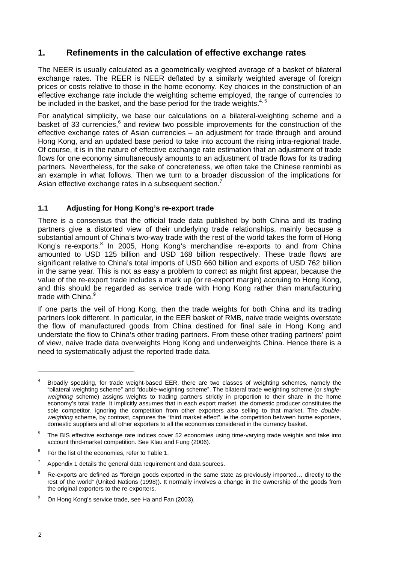## **1. Refinements in the calculation of effective exchange rates**

The NEER is usually calculated as a geometrically weighted average of a basket of bilateral exchange rates. The REER is NEER deflated by a similarly weighted average of foreign prices or costs relative to those in the home economy. Key choices in the construction of an effective exchange rate include the weighting scheme employed, the range of currencies to be included in the basket, and the base period for the trade weights. $4,5$ 

For analytical simplicity, we base our calculations on a bilateral-weighting scheme and a basket of 33 currencies, <sup>6</sup> and review two possible improvements for the construction of the effective exchange rates of Asian currencies – an adjustment for trade through and around Hong Kong, and an updated base period to take into account the rising intra-regional trade. Of course, it is in the nature of effective exchange rate estimation that an adjustment of trade flows for one economy simultaneously amounts to an adjustment of trade flows for its trading partners. Nevertheless, for the sake of concreteness, we often take the Chinese renminbi as an example in what follows. Then we turn to a broader discussion of the implications for Asian effective exchange rates in a subsequent section.<sup>7</sup>

## **1.1 Adjusting for Hong Kong's re-export trade**

There is a consensus that the official trade data published by both China and its trading partners give a distorted view of their underlying trade relationships, mainly because a substantial amount of China's two-way trade with the rest of the world takes the form of Hong Kong's re-exports.<sup>8</sup> In 2005, Hong Kong's merchandise re-exports to and from China amounted to USD 125 billion and USD 168 billion respectively. These trade flows are significant relative to China's total imports of USD 660 billion and exports of USD 762 billion in the same year. This is not as easy a problem to correct as might first appear, because the value of the re-export trade includes a mark up (or re-export margin) accruing to Hong Kong, and this should be regarded as service trade with Hong Kong rather than manufacturing trade with China.<sup>9</sup>

If one parts the veil of Hong Kong, then the trade weights for both China and its trading partners look different. In particular, in the EER basket of RMB, naive trade weights overstate the flow of manufactured goods from China destined for final sale in Hong Kong and understate the flow to China's other trading partners. From these other trading partners' point of view, naive trade data overweights Hong Kong and underweights China. Hence there is a need to systematically adjust the reported trade data.

 $\overline{a}$ 

<sup>4</sup> Broadly speaking, for trade weight-based EER, there are two classes of weighting schemes, namely the "bilateral weighting scheme" and "double-weighting scheme". The bilateral trade weighting scheme (or *singleweighting* scheme) assigns weights to trading partners strictly in proportion to their share in the home economy's total trade. It implicitly assumes that in each export market, the domestic producer constitutes the sole competitor, ignoring the competition from other exporters also selling to that market. The *doubleweighting* scheme, by contrast, captures the "third market effect", ie the competition between home exporters, domestic suppliers and all other exporters to all the economies considered in the currency basket.

<sup>5</sup> The BIS effective exchange rate indices cover 52 economies using time-varying trade weights and take into account third-market competition. See Klau and Fung (2006).

<sup>6</sup> For the list of the economies, refer to Table 1.

<sup>7</sup> Appendix 1 details the general data requirement and data sources.

<sup>8</sup> Re-exports are defined as "foreign goods exported in the same state as previously imported… directly to the rest of the world" (United Nations (1998)). It normally involves a change in the ownership of the goods from the original exporters to the re-exporters.

<sup>9</sup> On Hong Kong's service trade, see Ha and Fan (2003).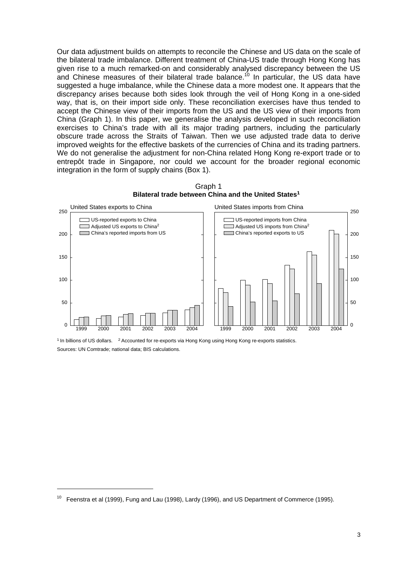Our data adjustment builds on attempts to reconcile the Chinese and US data on the scale of the bilateral trade imbalance. Different treatment of China-US trade through Hong Kong has given rise to a much remarked-on and considerably analysed discrepancy between the US and Chinese measures of their bilateral trade balance.<sup>10</sup> In particular, the US data have suggested a huge imbalance, while the Chinese data a more modest one. It appears that the discrepancy arises because both sides look through the veil of Hong Kong in a one-sided way, that is, on their import side only. These reconciliation exercises have thus tended to accept the Chinese view of their imports from the US and the US view of their imports from China (Graph 1). In this paper, we generalise the analysis developed in such reconciliation exercises to China's trade with all its major trading partners, including the particularly obscure trade across the Straits of Taiwan. Then we use adjusted trade data to derive improved weights for the effective baskets of the currencies of China and its trading partners. We do not generalise the adjustment for non-China related Hong Kong re-export trade or to entrepôt trade in Singapore, nor could we account for the broader regional economic integration in the form of supply chains (Box 1).



Graph 1 **Bilateral trade between China and the United States1**

<sup>1</sup> In billions of US dollars. <sup>2</sup> Accounted for re-exports via Hong Kong using Hong Kong re-exports statistics. Sources: UN Comtrade; national data; BIS calculations.

Feenstra et al (1999), Fung and Lau (1998), Lardy (1996), and US Department of Commerce (1995).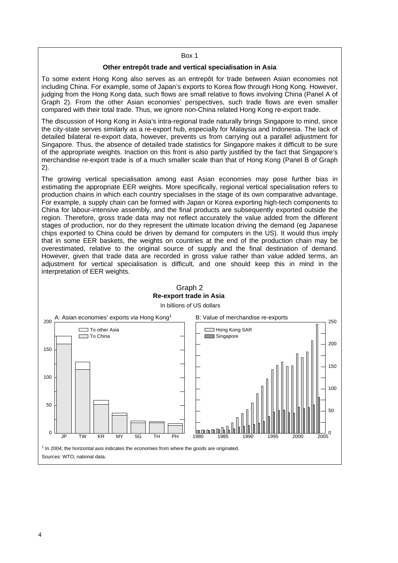#### Box 1

#### **Other entrepôt trade and vertical specialisation in Asia**

To some extent Hong Kong also serves as an entrepôt for trade between Asian economies not including China. For example, some of Japan's exports to Korea flow through Hong Kong. However, judging from the Hong Kong data, such flows are small relative to flows involving China (Panel A of Graph 2). From the other Asian economies' perspectives, such trade flows are even smaller compared with their total trade. Thus, we ignore non-China related Hong Kong re-export trade.

The discussion of Hong Kong in Asia's intra-regional trade naturally brings Singapore to mind, since the city-state serves similarly as a re-export hub, especially for Malaysia and Indonesia. The lack of detailed bilateral re-export data, however, prevents us from carrying out a parallel adjustment for Singapore. Thus, the absence of detailed trade statistics for Singapore makes it difficult to be sure of the appropriate weights. Inaction on this front is also partly justified by the fact that Singapore's merchandise re-export trade is of a much smaller scale than that of Hong Kong (Panel B of Graph 2).

The growing vertical specialisation among east Asian economies may pose further bias in estimating the appropriate EER weights. More specifically, regional vertical specialisation refers to production chains in which each country specialises in the stage of its own comparative advantage. For example, a supply chain can be formed with Japan or Korea exporting high-tech components to China for labour-intensive assembly, and the final products are subsequently exported outside the region. Therefore, gross trade data may not reflect accurately the value added from the different stages of production, nor do they represent the ultimate location driving the demand (eg Japanese chips exported to China could be driven by demand for computers in the US). It would thus imply that in some EER baskets, the weights on countries at the end of the production chain may be overestimated, relative to the original source of supply and the final destination of demand. However, given that trade data are recorded in gross value rather than value added terms, an adjustment for vertical specialisation is difficult, and one should keep this in mind in the interpretation of EER weights.

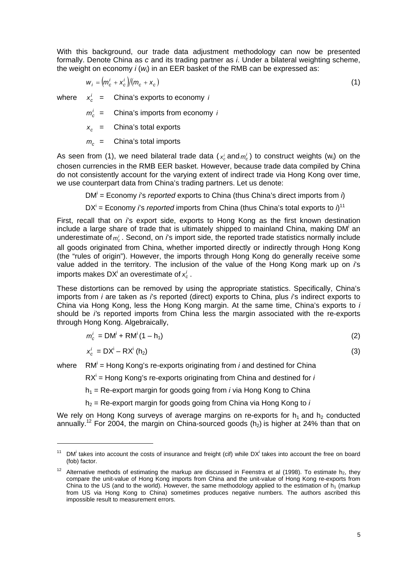With this background, our trade data adjustment methodology can now be presented formally. Denote China as *c* and its trading partner as *i*. Under a bilateral weighting scheme, the weight on economy *i* (*wi*) in an EER basket of the RMB can be expressed as:

$$
w_i = (m_c^i + x_c^i)/(m_c + x_c) \tag{1}
$$

where  $x_c^i$  = China's exports to economy *i* 

 $m_c^i$  = China's imports from economy *i* 

 $x_c$  = China's total exports

 $m_c$  = China's total imports

 $\overline{a}$ 

As seen from (1), we need bilateral trade data ( $x_c$  and  $m_c$ ) to construct weights (w<sub>i</sub>) on the chosen currencies in the RMB EER basket. However, because trade data compiled by China do not consistently account for the varying extent of indirect trade via Hong Kong over time, we use counterpart data from China's trading partners. Let us denote:

DM<sup>i</sup> = Economy *i*'s *reported* exports to China (thus China's direct imports from *i*)

DX<sup>i</sup> = Economy *i*'s *reported* imports from China (thus China's total exports to  $i$ )<sup>11</sup>

First, recall that on *i*'s export side, exports to Hong Kong as the first known destination include a large share of trade that is ultimately shipped to mainland China, making DM<sup>i</sup> an underestimate of  $m_c^i$ . Second, on *i*'s import side, the reported trade statistics normally include all goods originated from China, whether imported directly or indirectly through Hong Kong (the "rules of origin"). However, the imports through Hong Kong do generally receive some value added in the territory. The inclusion of the value of the Hong Kong mark up on *i*'s imports makes DX<sup>i</sup> an overestimate of  $x_c^i$  .

These distortions can be removed by using the appropriate statistics. Specifically, China's imports from *i* are taken as *i*'s reported (direct) exports to China, plus *i*'s indirect exports to China via Hong Kong, less the Hong Kong margin. At the same time, China's exports to *i*  should be *i'*s reported imports from China less the margin associated with the re-exports through Hong Kong. Algebraically,

$$
m_c^i = \text{DM}^i + \text{RM}^i (1 - h_1) \tag{2}
$$

$$
x_c^i = DX^i - RX^i \tag{3}
$$

where RM<sup>i</sup> = Hong Kong's re-exports originating from *i* and destined for China

RX<sup>i</sup> = Hong Kong's re-exports originating from China and destined for *i* 

 $h_1$  = Re-export margin for goods going from *i* via Hong Kong to China

 $h_2$  = Re-export margin for goods going from China via Hong Kong to  $i$ 

We rely on Hong Kong surveys of average margins on re-exports for  $h_1$  and  $h_2$  conducted annually.<sup>12</sup> For 2004, the margin on China-sourced goods  $(h_2)$  is higher at 24% than that on

 $11$  DM<sup>i</sup> takes into account the costs of insurance and freight (cif) while DX<sup>i</sup> takes into account the free on board (fob) factor.

<sup>&</sup>lt;sup>12</sup> Alternative methods of estimating the markup are discussed in Feenstra et al (1998). To estimate h<sub>2</sub>, they compare the unit-value of Hong Kong imports from China and the unit-value of Hong Kong re-exports from China to the US (and to the world). However, the same methodology applied to the estimation of  $h_1$  (markup from US via Hong Kong to China) sometimes produces negative numbers. The authors ascribed this impossible result to measurement errors.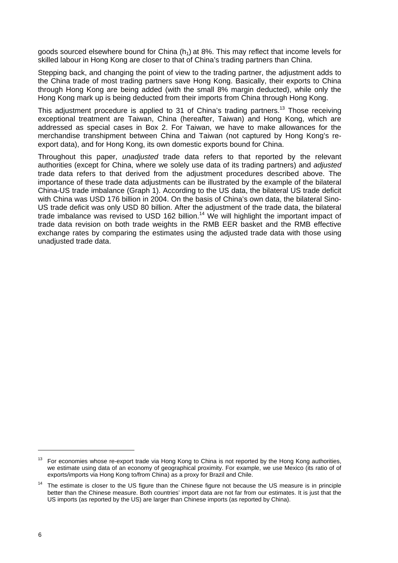goods sourced elsewhere bound for China  $(h_1)$  at 8%. This may reflect that income levels for skilled labour in Hong Kong are closer to that of China's trading partners than China.

Stepping back, and changing the point of view to the trading partner, the adjustment adds to the China trade of most trading partners save Hong Kong. Basically, their exports to China through Hong Kong are being added (with the small 8% margin deducted), while only the Hong Kong mark up is being deducted from their imports from China through Hong Kong.

This adjustment procedure is applied to 31 of China's trading partners.<sup>13</sup> Those receiving exceptional treatment are Taiwan, China (hereafter, Taiwan) and Hong Kong, which are addressed as special cases in Box 2. For Taiwan, we have to make allowances for the merchandise transhipment between China and Taiwan (not captured by Hong Kong's reexport data), and for Hong Kong, its own domestic exports bound for China.

Throughout this paper, *unadjusted* trade data refers to that reported by the relevant authorities (except for China, where we solely use data of its trading partners) and *adjusted*  trade data refers to that derived from the adjustment procedures described above. The importance of these trade data adjustments can be illustrated by the example of the bilateral China-US trade imbalance (Graph 1). According to the US data, the bilateral US trade deficit with China was USD 176 billion in 2004. On the basis of China's own data, the bilateral Sino-US trade deficit was only USD 80 billion. After the adjustment of the trade data, the bilateral trade imbalance was revised to USD 162 billion.14 We will highlight the important impact of trade data revision on both trade weights in the RMB EER basket and the RMB effective exchange rates by comparing the estimates using the adjusted trade data with those using unadjusted trade data.

<sup>&</sup>lt;sup>13</sup> For economies whose re-export trade via Hong Kong to China is not reported by the Hong Kong authorities, we estimate using data of an economy of geographical proximity. For example, we use Mexico (its ratio of of exports/imports via Hong Kong to/from China) as a proxy for Brazil and Chile.

<sup>&</sup>lt;sup>14</sup> The estimate is closer to the US figure than the Chinese figure not because the US measure is in principle better than the Chinese measure. Both countries' import data are not far from our estimates. It is just that the US imports (as reported by the US) are larger than Chinese imports (as reported by China).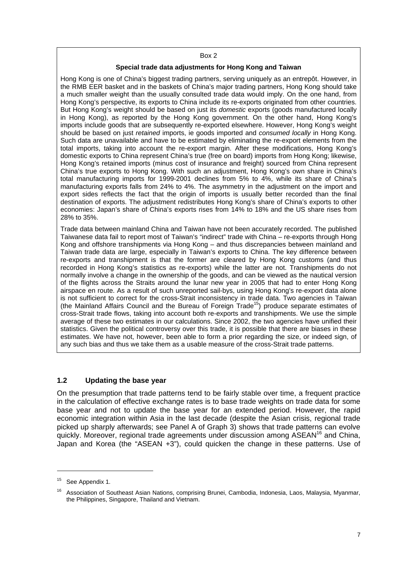#### Box 2

#### **Special trade data adjustments for Hong Kong and Taiwan**

Hong Kong is one of China's biggest trading partners, serving uniquely as an entrepôt. However, in the RMB EER basket and in the baskets of China's major trading partners, Hong Kong should take a much smaller weight than the usually consulted trade data would imply. On the one hand, from Hong Kong's perspective, its exports to China include its re-exports originated from other countries. But Hong Kong's weight should be based on just its *domestic* exports (goods manufactured locally in Hong Kong), as reported by the Hong Kong government. On the other hand, Hong Kong's imports include goods that are subsequently re-exported elsewhere. However, Hong Kong's weight should be based on just *retained* imports, ie goods imported and *consumed locally* in Hong Kong. Such data are unavailable and have to be estimated by eliminating the re-export elements from the total imports, taking into account the re-export margin. After these modifications, Hong Kong's domestic exports to China represent China's true (free on board) imports from Hong Kong; likewise, Hong Kong's retained imports (minus cost of insurance and freight) sourced from China represent China's true exports to Hong Kong. With such an adjustment, Hong Kong's own share in China's total manufacturing imports for 1999-2001 declines from 5% to 4%, while its share of China's manufacturing exports falls from 24% to 4%. The asymmetry in the adjustment on the import and export sides reflects the fact that the origin of imports is usually better recorded than the final destination of exports. The adjustment redistributes Hong Kong's share of China's exports to other economies: Japan's share of China's exports rises from 14% to 18% and the US share rises from 28% to 35%.

Trade data between mainland China and Taiwan have not been accurately recorded. The published Taiwanese data fail to report most of Taiwan's "indirect" trade with China – re-exports through Hong Kong and offshore transhipments via Hong Kong – and thus discrepancies between mainland and Taiwan trade data are large, especially in Taiwan's exports to China. The key difference between re-exports and transhipment is that the former are cleared by Hong Kong customs (and thus recorded in Hong Kong's statistics as re-exports) while the latter are not. Transhipments do not normally involve a change in the ownership of the goods, and can be viewed as the nautical version of the flights across the Straits around the lunar new year in 2005 that had to enter Hong Kong airspace en route. As a result of such unreported sail-bys, using Hong Kong's re-export data alone is not sufficient to correct for the cross-Strait inconsistency in trade data. Two agencies in Taiwan (the Mainland Affairs Council and the Bureau of Foreign  $\text{Trade}^{15}$ ) produce separate estimates of cross-Strait trade flows, taking into account both re-exports and transhipments. We use the simple average of these two estimates in our calculations. Since 2002, the two agencies have unified their statistics. Given the political controversy over this trade, it is possible that there are biases in these estimates. We have not, however, been able to form a prior regarding the size, or indeed sign, of any such bias and thus we take them as a usable measure of the cross-Strait trade patterns.

### **1.2 Updating the base year**

On the presumption that trade patterns tend to be fairly stable over time, a frequent practice in the calculation of effective exchange rates is to base trade weights on trade data for some base year and not to update the base year for an extended period. However, the rapid economic integration within Asia in the last decade (despite the Asian crisis, regional trade picked up sharply afterwards; see Panel A of Graph 3) shows that trade patterns can evolve quickly. Moreover, regional trade agreements under discussion among ASEAN<sup>16</sup> and China, Japan and Korea (the "ASEAN +3"), could quicken the change in these patterns. Use of

<sup>&</sup>lt;sup>15</sup> See Appendix 1.

<sup>&</sup>lt;sup>16</sup> Association of Southeast Asian Nations, comprising Brunei, Cambodia, Indonesia, Laos, Malaysia, Myanmar, the Philippines, Singapore, Thailand and Vietnam.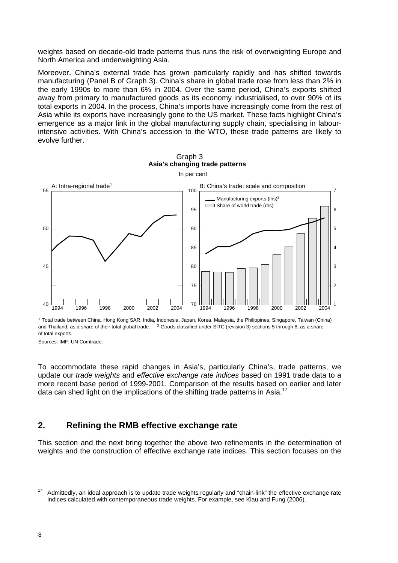weights based on decade-old trade patterns thus runs the risk of overweighting Europe and North America and underweighting Asia.

Moreover, China's external trade has grown particularly rapidly and has shifted towards manufacturing (Panel B of Graph 3). China's share in global trade rose from less than 2% in the early 1990s to more than 6% in 2004. Over the same period, China's exports shifted away from primary to manufactured goods as its economy industrialised, to over 90% of its total exports in 2004. In the process, China's imports have increasingly come from the rest of Asia while its exports have increasingly gone to the US market. These facts highlight China's emergence as a major link in the global manufacturing supply chain, specialising in labourintensive activities. With China's accession to the WTO, these trade patterns are likely to evolve further.



1 Total trade between China, Hong Kong SAR, India, Indonesia, Japan, Korea, Malaysia, the Philippines, Singapore, Taiwan (China) and Thailand; as a share of their total global trade. <sup>2</sup> Goods classified under SITC (revision 3) sections 5 through 8; as a share of total exports.

Sources: IMF; UN Comtrade.

To accommodate these rapid changes in Asia's, particularly China's, trade patterns, we update our *trade weights* and *effective exchange rate indices* based on 1991 trade data to a more recent base period of 1999-2001. Comparison of the results based on earlier and later data can shed light on the implications of the shifting trade patterns in Asia.<sup>17</sup>

## **2. Refining the RMB effective exchange rate**

This section and the next bring together the above two refinements in the determination of weights and the construction of effective exchange rate indices. This section focuses on the

Admittedly, an ideal approach is to update trade weights regularly and "chain-link" the effective exchange rate indices calculated with contemporaneous trade weights. For example, see Klau and Fung (2006).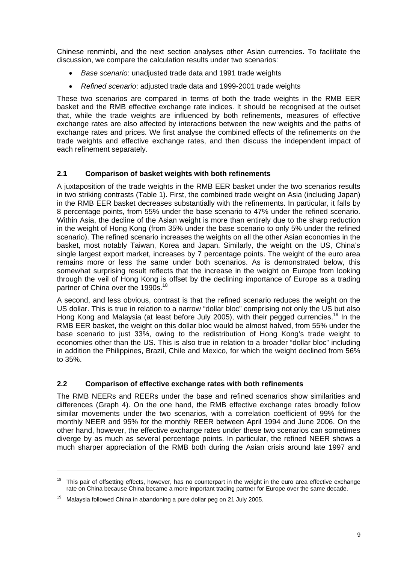Chinese renminbi, and the next section analyses other Asian currencies. To facilitate the discussion, we compare the calculation results under two scenarios:

- *Base scenario*: unadjusted trade data and 1991 trade weights
- *Refined scenario*: adjusted trade data and 1999-2001 trade weights

These two scenarios are compared in terms of both the trade weights in the RMB EER basket and the RMB effective exchange rate indices. It should be recognised at the outset that, while the trade weights are influenced by both refinements, measures of effective exchange rates are also affected by interactions between the new weights and the paths of exchange rates and prices. We first analyse the combined effects of the refinements on the trade weights and effective exchange rates, and then discuss the independent impact of each refinement separately.

### **2.1 Comparison of basket weights with both refinements**

A juxtaposition of the trade weights in the RMB EER basket under the two scenarios results in two striking contrasts (Table 1). First, the combined trade weight on Asia (including Japan) in the RMB EER basket decreases substantially with the refinements. In particular, it falls by 8 percentage points, from 55% under the base scenario to 47% under the refined scenario. Within Asia, the decline of the Asian weight is more than entirely due to the sharp reduction in the weight of Hong Kong (from 35% under the base scenario to only 5% under the refined scenario). The refined scenario increases the weights on all the other Asian economies in the basket, most notably Taiwan, Korea and Japan. Similarly, the weight on the US, China's single largest export market, increases by 7 percentage points. The weight of the euro area remains more or less the same under both scenarios. As is demonstrated below, this somewhat surprising result reflects that the increase in the weight on Europe from looking through the veil of Hong Kong is offset by the declining importance of Europe as a trading partner of China over the 1990s.<sup>18</sup>

A second, and less obvious, contrast is that the refined scenario reduces the weight on the US dollar. This is true in relation to a narrow "dollar bloc" comprising not only the US but also Hong Kong and Malaysia (at least before July 2005), with their pegged currencies.<sup>19</sup> In the RMB EER basket, the weight on this dollar bloc would be almost halved, from 55% under the base scenario to just 33%, owing to the redistribution of Hong Kong's trade weight to economies other than the US. This is also true in relation to a broader "dollar bloc" including in addition the Philippines, Brazil, Chile and Mexico, for which the weight declined from 56% to 35%.

### **2.2 Comparison of effective exchange rates with both refinements**

The RMB NEERs and REERs under the base and refined scenarios show similarities and differences (Graph 4). On the one hand, the RMB effective exchange rates broadly follow similar movements under the two scenarios, with a correlation coefficient of 99% for the monthly NEER and 95% for the monthly REER between April 1994 and June 2006. On the other hand, however, the effective exchange rates under these two scenarios can sometimes diverge by as much as several percentage points. In particular, the refined NEER shows a much sharper appreciation of the RMB both during the Asian crisis around late 1997 and

<sup>&</sup>lt;sup>18</sup> This pair of offsetting effects, however, has no counterpart in the weight in the euro area effective exchange rate on China because China became a more important trading partner for Europe over the same decade.

 $19$  Malaysia followed China in abandoning a pure dollar peg on 21 July 2005.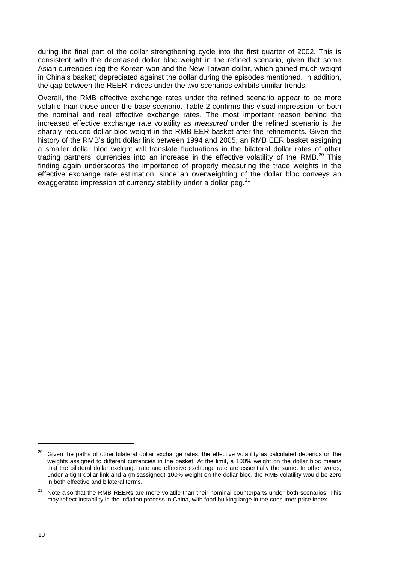during the final part of the dollar strengthening cycle into the first quarter of 2002. This is consistent with the decreased dollar bloc weight in the refined scenario, given that some Asian currencies (eg the Korean won and the New Taiwan dollar, which gained much weight in China's basket) depreciated against the dollar during the episodes mentioned. In addition, the gap between the REER indices under the two scenarios exhibits similar trends.

Overall, the RMB effective exchange rates under the refined scenario appear to be more volatile than those under the base scenario. Table 2 confirms this visual impression for both the nominal and real effective exchange rates. The most important reason behind the increased effective exchange rate volatility *as measured* under the refined scenario is the sharply reduced dollar bloc weight in the RMB EER basket after the refinements. Given the history of the RMB's tight dollar link between 1994 and 2005, an RMB EER basket assigning a smaller dollar bloc weight will translate fluctuations in the bilateral dollar rates of other trading partners' currencies into an increase in the effective volatility of the RMB.<sup>20</sup> This finding again underscores the importance of properly measuring the trade weights in the effective exchange rate estimation, since an overweighting of the dollar bloc conveys an exaggerated impression of currency stability under a dollar peg.<sup>21</sup>

 $20$  Given the paths of other bilateral dollar exchange rates, the effective volatility as calculated depends on the weights assigned to different currencies in the basket. At the limit, a 100% weight on the dollar bloc means that the bilateral dollar exchange rate and effective exchange rate are essentially the same. In other words, under a tight dollar link and a (misassigned) 100% weight on the dollar bloc, the RMB volatility would be zero in both effective and bilateral terms.

Note also that the RMB REERs are more volatile than their nominal counterparts under both scenarios. This may reflect instability in the inflation process in China, with food bulking large in the consumer price index.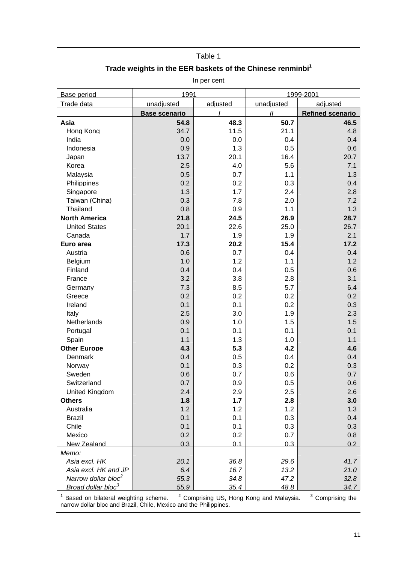#### Table 1

## **Trade weights in the EER baskets of the Chinese renminbi1**

In per cent

| unadjusted<br>Trade data<br>unadjusted<br>adjusted<br>adjusted<br>$\boldsymbol{H}$<br><b>Refined scenario</b><br><b>Base scenario</b><br>48.3<br>50.7<br>Asia<br>54.8<br>46.5<br>Hong Kong<br>34.7<br>11.5<br>21.1<br>4.8<br>India<br>0.0<br>0.0<br>0.4<br>0.4<br>Indonesia<br>0.9<br>1.3<br>0.6<br>0.5<br>13.7<br>20.1<br>16.4<br>20.7<br>Japan<br>Korea<br>2.5<br>4.0<br>5.6<br>7.1<br>0.5<br>0.7<br>1.3<br>Malaysia<br>1.1<br>0.2<br>0.3<br>Philippines<br>0.2<br>0.4<br>1.3<br>1.7<br>2.4<br>Singapore<br>2.8<br>0.3<br>7.8<br>7.2<br>Taiwan (China)<br>2.0<br>Thailand<br>0.8<br>0.9<br>1.1<br>1.3<br><b>North America</b><br>21.8<br>24.5<br>26.9<br>28.7<br>20.1<br>22.6<br>25.0<br>26.7<br><b>United States</b><br>1.7<br>1.9<br>2.1<br>Canada<br>1.9<br>20.2<br>17.2<br>17.3<br>15.4<br>Euro area<br>0.6<br>0.7<br>0.4<br>Austria<br>0.4<br>1.0<br>1.2<br>1.1<br>1.2<br>Belgium<br>0.4<br>0.4<br>0.5<br>Finland<br>0.6<br>3.2<br>3.8<br>2.8<br>3.1<br>France<br>7.3<br>8.5<br>5.7<br>6.4<br>Germany<br>0.2<br>0.2<br>0.2<br>Greece<br>0.2<br>Ireland<br>0.1<br>0.1<br>0.2<br>0.3<br>2.5<br>3.0<br>1.9<br>Italy<br>2.3<br>Netherlands<br>0.9<br>1.0<br>1.5<br>1.5<br>0.1<br>0.1<br>Portugal<br>0.1<br>0.1<br>Spain<br>1.1<br>1.3<br>1.0<br>1.1<br><b>Other Europe</b><br>4.3<br>5.3<br>4.2<br>4.6<br>0.4<br>0.5<br>0.4<br>Denmark<br>0.4<br>0.1<br>0.3<br>0.2<br>Norway<br>0.3<br>Sweden<br>0.6<br>0.7<br>0.6<br>0.7<br>Switzerland<br>0.7<br>0.5<br>0.9<br>0.6<br>United Kingdom<br>2.4<br>2.9<br>2.5<br>2.6<br>1.7<br><b>Others</b><br>1.8<br>2.8<br>3.0<br>1.2<br>1.2<br>1.2<br>Australia<br>1.3<br>0.1<br>0.3<br><b>Brazil</b><br>0.1<br>0.4<br>0.1<br>Chile<br>0.1<br>0.3<br>0.3<br>0.2<br>Mexico<br>0.2<br>0.7<br>0.8<br>0.3<br>0.1<br>0.3<br>0.2<br><b>New Zealand</b><br>Memo:<br>36.8<br>20.1<br>29.6<br>41.7<br>Asia excl. HK<br>Asia excl. HK and JP<br>6.4<br>16.7<br>13.2<br>21.0<br>Narrow dollar bloc <sup>2</sup><br>55.3<br>34.8<br>47.2<br>32.8 | Base period                    | 1991 |      | 1999-2001 |      |  |  |  |
|---------------------------------------------------------------------------------------------------------------------------------------------------------------------------------------------------------------------------------------------------------------------------------------------------------------------------------------------------------------------------------------------------------------------------------------------------------------------------------------------------------------------------------------------------------------------------------------------------------------------------------------------------------------------------------------------------------------------------------------------------------------------------------------------------------------------------------------------------------------------------------------------------------------------------------------------------------------------------------------------------------------------------------------------------------------------------------------------------------------------------------------------------------------------------------------------------------------------------------------------------------------------------------------------------------------------------------------------------------------------------------------------------------------------------------------------------------------------------------------------------------------------------------------------------------------------------------------------------------------------------------------------------------------------------------------------------------------------------------------------------------------------------------------------------------------------------------------------------------------------------------------------------------------------------------------------------------------------------|--------------------------------|------|------|-----------|------|--|--|--|
|                                                                                                                                                                                                                                                                                                                                                                                                                                                                                                                                                                                                                                                                                                                                                                                                                                                                                                                                                                                                                                                                                                                                                                                                                                                                                                                                                                                                                                                                                                                                                                                                                                                                                                                                                                                                                                                                                                                                                                           |                                |      |      |           |      |  |  |  |
|                                                                                                                                                                                                                                                                                                                                                                                                                                                                                                                                                                                                                                                                                                                                                                                                                                                                                                                                                                                                                                                                                                                                                                                                                                                                                                                                                                                                                                                                                                                                                                                                                                                                                                                                                                                                                                                                                                                                                                           |                                |      |      |           |      |  |  |  |
|                                                                                                                                                                                                                                                                                                                                                                                                                                                                                                                                                                                                                                                                                                                                                                                                                                                                                                                                                                                                                                                                                                                                                                                                                                                                                                                                                                                                                                                                                                                                                                                                                                                                                                                                                                                                                                                                                                                                                                           |                                |      |      |           |      |  |  |  |
|                                                                                                                                                                                                                                                                                                                                                                                                                                                                                                                                                                                                                                                                                                                                                                                                                                                                                                                                                                                                                                                                                                                                                                                                                                                                                                                                                                                                                                                                                                                                                                                                                                                                                                                                                                                                                                                                                                                                                                           |                                |      |      |           |      |  |  |  |
|                                                                                                                                                                                                                                                                                                                                                                                                                                                                                                                                                                                                                                                                                                                                                                                                                                                                                                                                                                                                                                                                                                                                                                                                                                                                                                                                                                                                                                                                                                                                                                                                                                                                                                                                                                                                                                                                                                                                                                           |                                |      |      |           |      |  |  |  |
|                                                                                                                                                                                                                                                                                                                                                                                                                                                                                                                                                                                                                                                                                                                                                                                                                                                                                                                                                                                                                                                                                                                                                                                                                                                                                                                                                                                                                                                                                                                                                                                                                                                                                                                                                                                                                                                                                                                                                                           |                                |      |      |           |      |  |  |  |
|                                                                                                                                                                                                                                                                                                                                                                                                                                                                                                                                                                                                                                                                                                                                                                                                                                                                                                                                                                                                                                                                                                                                                                                                                                                                                                                                                                                                                                                                                                                                                                                                                                                                                                                                                                                                                                                                                                                                                                           |                                |      |      |           |      |  |  |  |
|                                                                                                                                                                                                                                                                                                                                                                                                                                                                                                                                                                                                                                                                                                                                                                                                                                                                                                                                                                                                                                                                                                                                                                                                                                                                                                                                                                                                                                                                                                                                                                                                                                                                                                                                                                                                                                                                                                                                                                           |                                |      |      |           |      |  |  |  |
|                                                                                                                                                                                                                                                                                                                                                                                                                                                                                                                                                                                                                                                                                                                                                                                                                                                                                                                                                                                                                                                                                                                                                                                                                                                                                                                                                                                                                                                                                                                                                                                                                                                                                                                                                                                                                                                                                                                                                                           |                                |      |      |           |      |  |  |  |
|                                                                                                                                                                                                                                                                                                                                                                                                                                                                                                                                                                                                                                                                                                                                                                                                                                                                                                                                                                                                                                                                                                                                                                                                                                                                                                                                                                                                                                                                                                                                                                                                                                                                                                                                                                                                                                                                                                                                                                           |                                |      |      |           |      |  |  |  |
|                                                                                                                                                                                                                                                                                                                                                                                                                                                                                                                                                                                                                                                                                                                                                                                                                                                                                                                                                                                                                                                                                                                                                                                                                                                                                                                                                                                                                                                                                                                                                                                                                                                                                                                                                                                                                                                                                                                                                                           |                                |      |      |           |      |  |  |  |
|                                                                                                                                                                                                                                                                                                                                                                                                                                                                                                                                                                                                                                                                                                                                                                                                                                                                                                                                                                                                                                                                                                                                                                                                                                                                                                                                                                                                                                                                                                                                                                                                                                                                                                                                                                                                                                                                                                                                                                           |                                |      |      |           |      |  |  |  |
|                                                                                                                                                                                                                                                                                                                                                                                                                                                                                                                                                                                                                                                                                                                                                                                                                                                                                                                                                                                                                                                                                                                                                                                                                                                                                                                                                                                                                                                                                                                                                                                                                                                                                                                                                                                                                                                                                                                                                                           |                                |      |      |           |      |  |  |  |
|                                                                                                                                                                                                                                                                                                                                                                                                                                                                                                                                                                                                                                                                                                                                                                                                                                                                                                                                                                                                                                                                                                                                                                                                                                                                                                                                                                                                                                                                                                                                                                                                                                                                                                                                                                                                                                                                                                                                                                           |                                |      |      |           |      |  |  |  |
|                                                                                                                                                                                                                                                                                                                                                                                                                                                                                                                                                                                                                                                                                                                                                                                                                                                                                                                                                                                                                                                                                                                                                                                                                                                                                                                                                                                                                                                                                                                                                                                                                                                                                                                                                                                                                                                                                                                                                                           |                                |      |      |           |      |  |  |  |
|                                                                                                                                                                                                                                                                                                                                                                                                                                                                                                                                                                                                                                                                                                                                                                                                                                                                                                                                                                                                                                                                                                                                                                                                                                                                                                                                                                                                                                                                                                                                                                                                                                                                                                                                                                                                                                                                                                                                                                           |                                |      |      |           |      |  |  |  |
|                                                                                                                                                                                                                                                                                                                                                                                                                                                                                                                                                                                                                                                                                                                                                                                                                                                                                                                                                                                                                                                                                                                                                                                                                                                                                                                                                                                                                                                                                                                                                                                                                                                                                                                                                                                                                                                                                                                                                                           |                                |      |      |           |      |  |  |  |
|                                                                                                                                                                                                                                                                                                                                                                                                                                                                                                                                                                                                                                                                                                                                                                                                                                                                                                                                                                                                                                                                                                                                                                                                                                                                                                                                                                                                                                                                                                                                                                                                                                                                                                                                                                                                                                                                                                                                                                           |                                |      |      |           |      |  |  |  |
|                                                                                                                                                                                                                                                                                                                                                                                                                                                                                                                                                                                                                                                                                                                                                                                                                                                                                                                                                                                                                                                                                                                                                                                                                                                                                                                                                                                                                                                                                                                                                                                                                                                                                                                                                                                                                                                                                                                                                                           |                                |      |      |           |      |  |  |  |
|                                                                                                                                                                                                                                                                                                                                                                                                                                                                                                                                                                                                                                                                                                                                                                                                                                                                                                                                                                                                                                                                                                                                                                                                                                                                                                                                                                                                                                                                                                                                                                                                                                                                                                                                                                                                                                                                                                                                                                           |                                |      |      |           |      |  |  |  |
|                                                                                                                                                                                                                                                                                                                                                                                                                                                                                                                                                                                                                                                                                                                                                                                                                                                                                                                                                                                                                                                                                                                                                                                                                                                                                                                                                                                                                                                                                                                                                                                                                                                                                                                                                                                                                                                                                                                                                                           |                                |      |      |           |      |  |  |  |
|                                                                                                                                                                                                                                                                                                                                                                                                                                                                                                                                                                                                                                                                                                                                                                                                                                                                                                                                                                                                                                                                                                                                                                                                                                                                                                                                                                                                                                                                                                                                                                                                                                                                                                                                                                                                                                                                                                                                                                           |                                |      |      |           |      |  |  |  |
|                                                                                                                                                                                                                                                                                                                                                                                                                                                                                                                                                                                                                                                                                                                                                                                                                                                                                                                                                                                                                                                                                                                                                                                                                                                                                                                                                                                                                                                                                                                                                                                                                                                                                                                                                                                                                                                                                                                                                                           |                                |      |      |           |      |  |  |  |
|                                                                                                                                                                                                                                                                                                                                                                                                                                                                                                                                                                                                                                                                                                                                                                                                                                                                                                                                                                                                                                                                                                                                                                                                                                                                                                                                                                                                                                                                                                                                                                                                                                                                                                                                                                                                                                                                                                                                                                           |                                |      |      |           |      |  |  |  |
|                                                                                                                                                                                                                                                                                                                                                                                                                                                                                                                                                                                                                                                                                                                                                                                                                                                                                                                                                                                                                                                                                                                                                                                                                                                                                                                                                                                                                                                                                                                                                                                                                                                                                                                                                                                                                                                                                                                                                                           |                                |      |      |           |      |  |  |  |
|                                                                                                                                                                                                                                                                                                                                                                                                                                                                                                                                                                                                                                                                                                                                                                                                                                                                                                                                                                                                                                                                                                                                                                                                                                                                                                                                                                                                                                                                                                                                                                                                                                                                                                                                                                                                                                                                                                                                                                           |                                |      |      |           |      |  |  |  |
|                                                                                                                                                                                                                                                                                                                                                                                                                                                                                                                                                                                                                                                                                                                                                                                                                                                                                                                                                                                                                                                                                                                                                                                                                                                                                                                                                                                                                                                                                                                                                                                                                                                                                                                                                                                                                                                                                                                                                                           |                                |      |      |           |      |  |  |  |
|                                                                                                                                                                                                                                                                                                                                                                                                                                                                                                                                                                                                                                                                                                                                                                                                                                                                                                                                                                                                                                                                                                                                                                                                                                                                                                                                                                                                                                                                                                                                                                                                                                                                                                                                                                                                                                                                                                                                                                           |                                |      |      |           |      |  |  |  |
|                                                                                                                                                                                                                                                                                                                                                                                                                                                                                                                                                                                                                                                                                                                                                                                                                                                                                                                                                                                                                                                                                                                                                                                                                                                                                                                                                                                                                                                                                                                                                                                                                                                                                                                                                                                                                                                                                                                                                                           |                                |      |      |           |      |  |  |  |
|                                                                                                                                                                                                                                                                                                                                                                                                                                                                                                                                                                                                                                                                                                                                                                                                                                                                                                                                                                                                                                                                                                                                                                                                                                                                                                                                                                                                                                                                                                                                                                                                                                                                                                                                                                                                                                                                                                                                                                           |                                |      |      |           |      |  |  |  |
|                                                                                                                                                                                                                                                                                                                                                                                                                                                                                                                                                                                                                                                                                                                                                                                                                                                                                                                                                                                                                                                                                                                                                                                                                                                                                                                                                                                                                                                                                                                                                                                                                                                                                                                                                                                                                                                                                                                                                                           |                                |      |      |           |      |  |  |  |
|                                                                                                                                                                                                                                                                                                                                                                                                                                                                                                                                                                                                                                                                                                                                                                                                                                                                                                                                                                                                                                                                                                                                                                                                                                                                                                                                                                                                                                                                                                                                                                                                                                                                                                                                                                                                                                                                                                                                                                           |                                |      |      |           |      |  |  |  |
|                                                                                                                                                                                                                                                                                                                                                                                                                                                                                                                                                                                                                                                                                                                                                                                                                                                                                                                                                                                                                                                                                                                                                                                                                                                                                                                                                                                                                                                                                                                                                                                                                                                                                                                                                                                                                                                                                                                                                                           |                                |      |      |           |      |  |  |  |
|                                                                                                                                                                                                                                                                                                                                                                                                                                                                                                                                                                                                                                                                                                                                                                                                                                                                                                                                                                                                                                                                                                                                                                                                                                                                                                                                                                                                                                                                                                                                                                                                                                                                                                                                                                                                                                                                                                                                                                           |                                |      |      |           |      |  |  |  |
|                                                                                                                                                                                                                                                                                                                                                                                                                                                                                                                                                                                                                                                                                                                                                                                                                                                                                                                                                                                                                                                                                                                                                                                                                                                                                                                                                                                                                                                                                                                                                                                                                                                                                                                                                                                                                                                                                                                                                                           |                                |      |      |           |      |  |  |  |
|                                                                                                                                                                                                                                                                                                                                                                                                                                                                                                                                                                                                                                                                                                                                                                                                                                                                                                                                                                                                                                                                                                                                                                                                                                                                                                                                                                                                                                                                                                                                                                                                                                                                                                                                                                                                                                                                                                                                                                           |                                |      |      |           |      |  |  |  |
|                                                                                                                                                                                                                                                                                                                                                                                                                                                                                                                                                                                                                                                                                                                                                                                                                                                                                                                                                                                                                                                                                                                                                                                                                                                                                                                                                                                                                                                                                                                                                                                                                                                                                                                                                                                                                                                                                                                                                                           |                                |      |      |           |      |  |  |  |
|                                                                                                                                                                                                                                                                                                                                                                                                                                                                                                                                                                                                                                                                                                                                                                                                                                                                                                                                                                                                                                                                                                                                                                                                                                                                                                                                                                                                                                                                                                                                                                                                                                                                                                                                                                                                                                                                                                                                                                           |                                |      |      |           |      |  |  |  |
|                                                                                                                                                                                                                                                                                                                                                                                                                                                                                                                                                                                                                                                                                                                                                                                                                                                                                                                                                                                                                                                                                                                                                                                                                                                                                                                                                                                                                                                                                                                                                                                                                                                                                                                                                                                                                                                                                                                                                                           |                                |      |      |           |      |  |  |  |
|                                                                                                                                                                                                                                                                                                                                                                                                                                                                                                                                                                                                                                                                                                                                                                                                                                                                                                                                                                                                                                                                                                                                                                                                                                                                                                                                                                                                                                                                                                                                                                                                                                                                                                                                                                                                                                                                                                                                                                           |                                |      |      |           |      |  |  |  |
|                                                                                                                                                                                                                                                                                                                                                                                                                                                                                                                                                                                                                                                                                                                                                                                                                                                                                                                                                                                                                                                                                                                                                                                                                                                                                                                                                                                                                                                                                                                                                                                                                                                                                                                                                                                                                                                                                                                                                                           |                                |      |      |           |      |  |  |  |
|                                                                                                                                                                                                                                                                                                                                                                                                                                                                                                                                                                                                                                                                                                                                                                                                                                                                                                                                                                                                                                                                                                                                                                                                                                                                                                                                                                                                                                                                                                                                                                                                                                                                                                                                                                                                                                                                                                                                                                           |                                |      |      |           |      |  |  |  |
|                                                                                                                                                                                                                                                                                                                                                                                                                                                                                                                                                                                                                                                                                                                                                                                                                                                                                                                                                                                                                                                                                                                                                                                                                                                                                                                                                                                                                                                                                                                                                                                                                                                                                                                                                                                                                                                                                                                                                                           |                                |      |      |           |      |  |  |  |
|                                                                                                                                                                                                                                                                                                                                                                                                                                                                                                                                                                                                                                                                                                                                                                                                                                                                                                                                                                                                                                                                                                                                                                                                                                                                                                                                                                                                                                                                                                                                                                                                                                                                                                                                                                                                                                                                                                                                                                           |                                |      |      |           |      |  |  |  |
|                                                                                                                                                                                                                                                                                                                                                                                                                                                                                                                                                                                                                                                                                                                                                                                                                                                                                                                                                                                                                                                                                                                                                                                                                                                                                                                                                                                                                                                                                                                                                                                                                                                                                                                                                                                                                                                                                                                                                                           | Broad dollar bloc <sup>3</sup> | 55.9 | 35.4 | 48.8      | 34.7 |  |  |  |

<sup>1</sup> Based on bilateral weighting scheme.  $\frac{2}{3}$  Comprising US, Hong Kong and Malaysia.  $\frac{3}{3}$ <sup>3</sup> Comprising the narrow dollar bloc and Brazil, Chile, Mexico and the Philippines.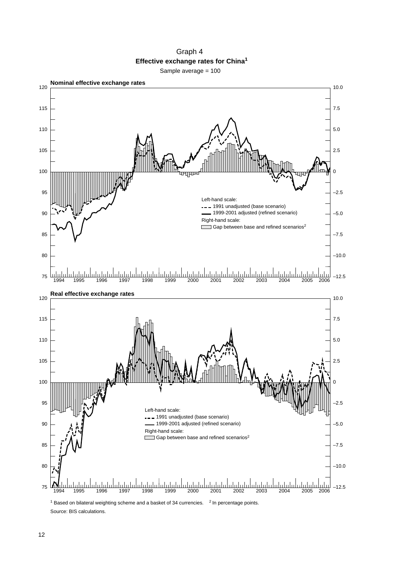Graph 4 **Effective exchange rates for China<sup>1</sup>** Sample average = 100



Source: BIS calculations.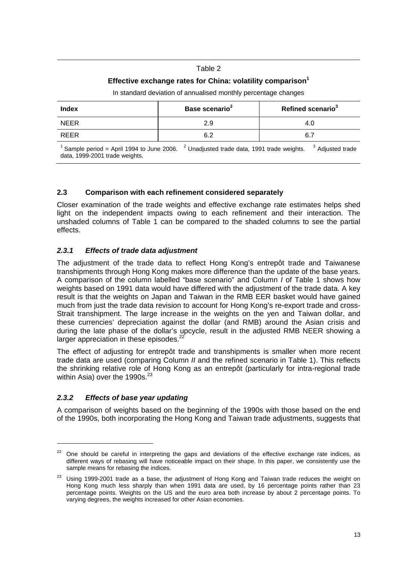### Table 2

## **Effective exchange rates for China: volatility comparison<sup>1</sup>**

| Base scenario <sup>2</sup> | Refined scenario <sup>3</sup> |
|----------------------------|-------------------------------|
| 2.9                        | 4.C                           |
| 6.2                        | 6.7                           |
|                            |                               |

In standard deviation of annualised monthly percentage changes

Sample period = April 1994 to June 2006. Unadjusted trade data, 1991 trade weights. <sup>3</sup> Adjusted trade data, 1999-2001 trade weights.

### **2.3 Comparison with each refinement considered separately**

Closer examination of the trade weights and effective exchange rate estimates helps shed light on the independent impacts owing to each refinement and their interaction. The unshaded columns of Table 1 can be compared to the shaded columns to see the partial effects.

### *2.3.1 Effects of trade data adjustment*

The adjustment of the trade data to reflect Hong Kong's entrepôt trade and Taiwanese transhipments through Hong Kong makes more difference than the update of the base years. A comparison of the column labelled "base scenario" and Column *I* of Table 1 shows how weights based on 1991 data would have differed with the adjustment of the trade data. A key result is that the weights on Japan and Taiwan in the RMB EER basket would have gained much from just the trade data revision to account for Hong Kong's re-export trade and cross-Strait transhipment. The large increase in the weights on the yen and Taiwan dollar, and these currencies' depreciation against the dollar (and RMB) around the Asian crisis and during the late phase of the dollar's upcycle, result in the adjusted RMB NEER showing a larger appreciation in these episodes.<sup>22</sup>

The effect of adjusting for entrepôt trade and transhipments is smaller when more recent trade data are used (comparing Column *II* and the refined scenario in Table 1). This reflects the shrinking relative role of Hong Kong as an entrepôt (particularly for intra-regional trade within Asia) over the  $1990s.<sup>23</sup>$ 

## *2.3.2 Effects of base year updating*

 $\overline{a}$ 

A comparison of weights based on the beginning of the 1990s with those based on the end of the 1990s, both incorporating the Hong Kong and Taiwan trade adjustments, suggests that

<sup>&</sup>lt;sup>22</sup> One should be careful in interpreting the gaps and deviations of the effective exchange rate indices, as different ways of rebasing will have noticeable impact on their shape. In this paper, we consistently use the sample means for rebasing the indices.

<sup>&</sup>lt;sup>23</sup> Usina 1999-2001 trade as a base, the adjustment of Hong Kong and Taiwan trade reduces the weight on Hong Kong much less sharply than when 1991 data are used, by 16 percentage points rather than 23 percentage points. Weights on the US and the euro area both increase by about 2 percentage points. To varying degrees, the weights increased for other Asian economies.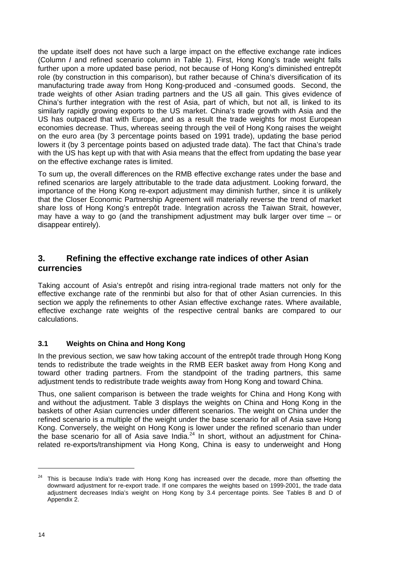the update itself does not have such a large impact on the effective exchange rate indices (Column *I* and refined scenario column in Table 1). First, Hong Kong's trade weight falls further upon a more updated base period, not because of Hong Kong's diminished entrepôt role (by construction in this comparison), but rather because of China's diversification of its manufacturing trade away from Hong Kong-produced and -consumed goods. Second, the trade weights of other Asian trading partners and the US all gain. This gives evidence of China's further integration with the rest of Asia, part of which, but not all, is linked to its similarly rapidly growing exports to the US market. China's trade growth with Asia and the US has outpaced that with Europe, and as a result the trade weights for most European economies decrease. Thus, whereas seeing through the veil of Hong Kong raises the weight on the euro area (by 3 percentage points based on 1991 trade), updating the base period lowers it (by 3 percentage points based on adjusted trade data). The fact that China's trade with the US has kept up with that with Asia means that the effect from updating the base year on the effective exchange rates is limited.

To sum up, the overall differences on the RMB effective exchange rates under the base and refined scenarios are largely attributable to the trade data adjustment. Looking forward, the importance of the Hong Kong re-export adjustment may diminish further, since it is unlikely that the Closer Economic Partnership Agreement will materially reverse the trend of market share loss of Hong Kong's entrepôt trade. Integration across the Taiwan Strait, however, may have a way to go (and the transhipment adjustment may bulk larger over time – or disappear entirely).

## **3. Refining the effective exchange rate indices of other Asian currencies**

Taking account of Asia's entrepôt and rising intra-regional trade matters not only for the effective exchange rate of the renminbi but also for that of other Asian currencies. In this section we apply the refinements to other Asian effective exchange rates. Where available, effective exchange rate weights of the respective central banks are compared to our calculations.

## **3.1 Weights on China and Hong Kong**

In the previous section, we saw how taking account of the entrepôt trade through Hong Kong tends to redistribute the trade weights in the RMB EER basket away from Hong Kong and toward other trading partners. From the standpoint of the trading partners, this same adjustment tends to redistribute trade weights away from Hong Kong and toward China.

Thus, one salient comparison is between the trade weights for China and Hong Kong with and without the adjustment. Table 3 displays the weights on China and Hong Kong in the baskets of other Asian currencies under different scenarios. The weight on China under the refined scenario is a multiple of the weight under the base scenario for all of Asia save Hong Kong. Conversely, the weight on Hong Kong is lower under the refined scenario than under the base scenario for all of Asia save India. $^{24}$  In short, without an adjustment for Chinarelated re-exports/transhipment via Hong Kong, China is easy to underweight and Hong

<sup>&</sup>lt;sup>24</sup> This is because India's trade with Hong Kong has increased over the decade, more than offsetting the downward adjustment for re-export trade. If one compares the weights based on 1999-2001, the trade data adjustment decreases India's weight on Hong Kong by 3.4 percentage points. See Tables B and D of Appendix 2.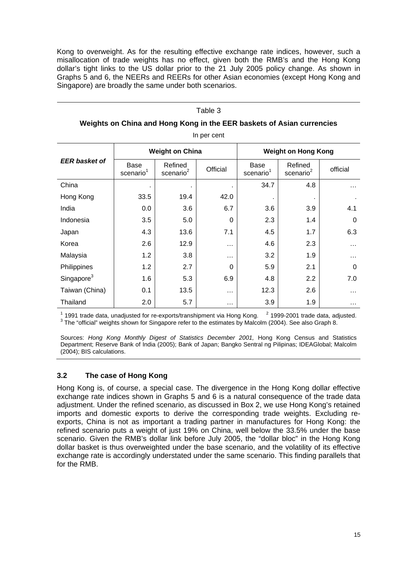Kong to overweight. As for the resulting effective exchange rate indices, however, such a misallocation of trade weights has no effect, given both the RMB's and the Hong Kong dollar's tight links to the US dollar prior to the 21 July 2005 policy change. As shown in Graphs 5 and 6, the NEERs and REERs for other Asian economies (except Hong Kong and Singapore) are broadly the same under both scenarios.

#### Table 3

| Weights on China and Hong Kong in the EER baskets of Asian currencies |  |
|-----------------------------------------------------------------------|--|
| In per cent                                                           |  |

|                        |                                      | <b>Weight on China</b>           |          |                                      | <b>Weight on Hong Kong</b>       |          |
|------------------------|--------------------------------------|----------------------------------|----------|--------------------------------------|----------------------------------|----------|
| <b>EER basket of</b>   | <b>Base</b><br>scenario <sup>1</sup> | Refined<br>scenario <sup>2</sup> | Official | <b>Base</b><br>scenario <sup>1</sup> | Refined<br>scenario <sup>2</sup> | official |
| China                  |                                      |                                  | ٠        | 34.7                                 | 4.8                              | $\cdots$ |
| Hong Kong              | 33.5                                 | 19.4                             | 42.0     | ٠                                    |                                  |          |
| India                  | 0.0                                  | 3.6                              | 6.7      | 3.6                                  | 3.9                              | 4.1      |
| Indonesia              | 3.5                                  | 5.0                              | 0        | 2.3                                  | 1.4                              | $\Omega$ |
| Japan                  | 4.3                                  | 13.6                             | 7.1      | 4.5                                  | 1.7                              | 6.3      |
| Korea                  | 2.6                                  | 12.9                             | $\cdots$ | 4.6                                  | 2.3                              | $\cdots$ |
| Malaysia               | 1.2                                  | 3.8                              | $\cdots$ | 3.2                                  | 1.9                              | .        |
| Philippines            | 1.2                                  | 2.7                              | 0        | 5.9                                  | 2.1                              | $\Omega$ |
| Singapore <sup>3</sup> | 1.6                                  | 5.3                              | 6.9      | 4.8                                  | 2.2                              | 7.0      |
| Taiwan (China)         | 0.1                                  | 13.5                             | $\cdots$ | 12.3                                 | 2.6                              | $\cdots$ |
| Thailand               | 2.0                                  | 5.7                              | $\cdots$ | 3.9                                  | 1.9                              | $\cdots$ |

<sup>1</sup> 1991 trade data, unadjusted for re-exports/transhipment via Hong Kong. <sup>2</sup> 1999-2001 trade data, adjusted.<br><sup>3</sup> The "efficial" viaintife abour for Singapers refer to the estimates by Malaslm (2004). See also Craph 8. <sup>3</sup> The "official" weights shown for Singapore refer to the estimates by Malcolm (2004). See also Graph 8.

Sources: *Hong Kong Monthly Digest of Statistics December 2001*, Hong Kong Census and Statistics Department; Reserve Bank of India (2005); Bank of Japan; Bangko Sentral ng Pilipinas; IDEAGlobal; Malcolm (2004); BIS calculations.

## **3.2 The case of Hong Kong**

Hong Kong is, of course, a special case. The divergence in the Hong Kong dollar effective exchange rate indices shown in Graphs 5 and 6 is a natural consequence of the trade data adjustment. Under the refined scenario, as discussed in Box 2, we use Hong Kong's retained imports and domestic exports to derive the corresponding trade weights. Excluding reexports, China is not as important a trading partner in manufactures for Hong Kong: the refined scenario puts a weight of just 19% on China, well below the 33.5% under the base scenario. Given the RMB's dollar link before July 2005, the "dollar bloc" in the Hong Kong dollar basket is thus overweighted under the base scenario, and the volatility of its effective exchange rate is accordingly understated under the same scenario. This finding parallels that for the RMB.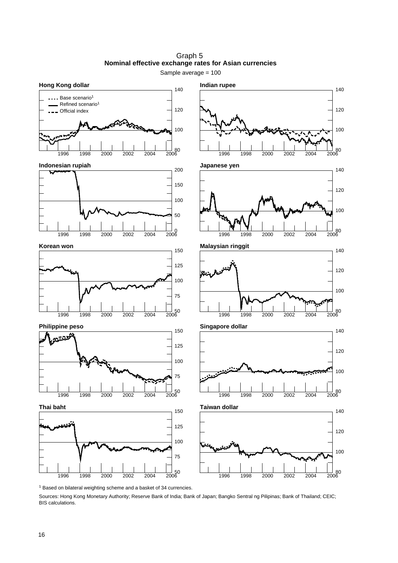Graph 5 **Nominal effective exchange rates for Asian currencies** Sample average = 100



75 100 125

50 1996 1998 2000 2002 2004 2006



100

100

100

140

120

140

120

140

120

140

1 Based on bilateral weighting scheme and a basket of 34 currencies.

50 1996 1998 2000 2002 2004 2006

Sources: Hong Kong Monetary Authority; Reserve Bank of India; Bank of Japan; Bangko Sentral ng Pilipinas; Bank of Thailand; CEIC; BIS calculations.

75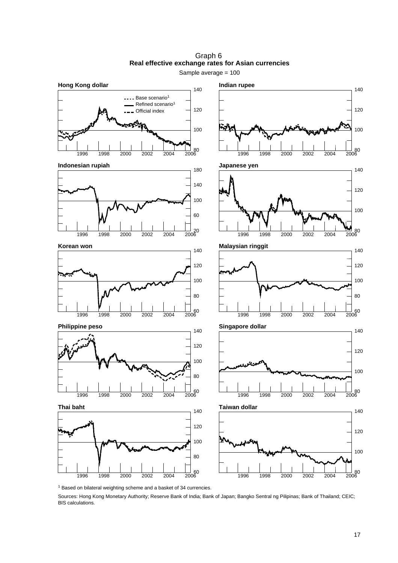

Graph 6 **Real effective exchange rates for Asian currencies**

1 Based on bilateral weighting scheme and a basket of 34 currencies.

Sources: Hong Kong Monetary Authority; Reserve Bank of India; Bank of Japan; Bangko Sentral ng Pilipinas; Bank of Thailand; CEIC; BIS calculations.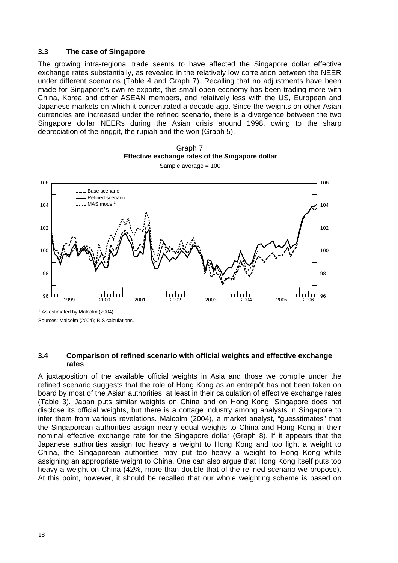#### **3.3 The case of Singapore**

The growing intra-regional trade seems to have affected the Singapore dollar effective exchange rates substantially, as revealed in the relatively low correlation between the NEER under different scenarios (Table 4 and Graph 7). Recalling that no adjustments have been made for Singapore's own re-exports, this small open economy has been trading more with China, Korea and other ASEAN members, and relatively less with the US, European and Japanese markets on which it concentrated a decade ago. Since the weights on other Asian currencies are increased under the refined scenario, there is a divergence between the two Singapore dollar NEERs during the Asian crisis around 1998, owing to the sharp depreciation of the ringgit, the rupiah and the won (Graph 5).





Sample average = 100

<sup>1</sup> As estimated by Malcolm (2004). Sources: Malcolm (2004); BIS calculations.

**3.4 Comparison of refined scenario with official weights and effective exchange rates** 

A juxtaposition of the available official weights in Asia and those we compile under the refined scenario suggests that the role of Hong Kong as an entrepôt has not been taken on board by most of the Asian authorities, at least in their calculation of effective exchange rates (Table 3). Japan puts similar weights on China and on Hong Kong. Singapore does not disclose its official weights, but there is a cottage industry among analysts in Singapore to infer them from various revelations. Malcolm (2004), a market analyst, "guesstimates" that the Singaporean authorities assign nearly equal weights to China and Hong Kong in their nominal effective exchange rate for the Singapore dollar (Graph 8). If it appears that the Japanese authorities assign too heavy a weight to Hong Kong and too light a weight to China, the Singaporean authorities may put too heavy a weight to Hong Kong while assigning an appropriate weight to China. One can also argue that Hong Kong itself puts too heavy a weight on China (42%, more than double that of the refined scenario we propose). At this point, however, it should be recalled that our whole weighting scheme is based on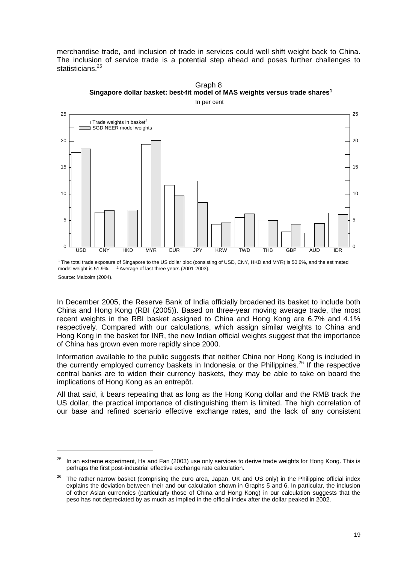merchandise trade, and inclusion of trade in services could well shift weight back to China. The inclusion of service trade is a potential step ahead and poses further challenges to statisticians.<sup>25</sup>



In per cent

Graph 8



1 The total trade exposure of Singapore to the US dollar bloc (consisting of USD, CNY, HKD and MYR) is 50.6%, and the estimated model weight is 51.9%. <sup>2</sup> Average of last three years (2001-2003). Source: Malcolm (2004).

In December 2005, the Reserve Bank of India officially broadened its basket to include both China and Hong Kong (RBI (2005)). Based on three-year moving average trade, the most recent weights in the RBI basket assigned to China and Hong Kong are 6.7% and 4.1% respectively. Compared with our calculations, which assign similar weights to China and Hong Kong in the basket for INR, the new Indian official weights suggest that the importance of China has grown even more rapidly since 2000.

Information available to the public suggests that neither China nor Hong Kong is included in the currently employed currency baskets in Indonesia or the Philippines.<sup>26</sup> If the respective central banks are to widen their currency baskets, they may be able to take on board the implications of Hong Kong as an entrepôt.

All that said, it bears repeating that as long as the Hong Kong dollar and the RMB track the US dollar, the practical importance of distinguishing them is limited. The high correlation of our base and refined scenario effective exchange rates, and the lack of any consistent

 $25$  In an extreme experiment, Ha and Fan (2003) use only services to derive trade weights for Hong Kong. This is perhaps the first post-industrial effective exchange rate calculation.

<sup>&</sup>lt;sup>26</sup> The rather narrow basket (comprising the euro area, Japan, UK and US only) in the Philippine official index explains the deviation between their and our calculation shown in Graphs 5 and 6. In particular, the inclusion of other Asian currencies (particularly those of China and Hong Kong) in our calculation suggests that the peso has not depreciated by as much as implied in the official index after the dollar peaked in 2002.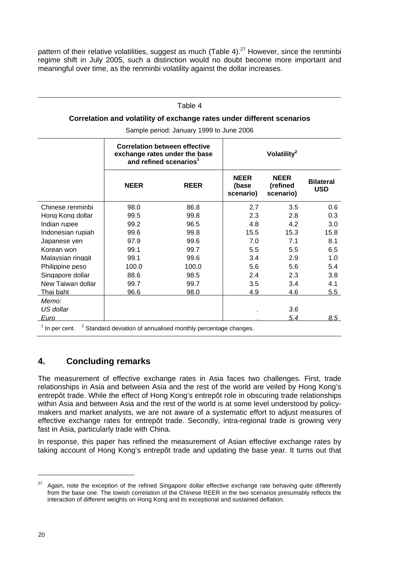pattern of their relative volatilities, suggest as much (Table 4). $^{27}$  However, since the renminbi regime shift in July 2005, such a distinction would no doubt become more important and meaningful over time, as the renminbi volatility against the dollar increases.

#### Table 4

#### **Correlation and volatility of exchange rates under different scenarios**

Sample period: January 1999 to June 2006

|                   | <b>Correlation between effective</b><br>exchange rates under the base<br>and refined scenarios <sup>1</sup> |             | Volatility <sup>2</sup>           |                                      |                                |
|-------------------|-------------------------------------------------------------------------------------------------------------|-------------|-----------------------------------|--------------------------------------|--------------------------------|
|                   | <b>NEER</b>                                                                                                 | <b>REER</b> | <b>NEER</b><br>(base<br>scenario) | <b>NEER</b><br>(refined<br>scenario) | <b>Bilateral</b><br><b>USD</b> |
| Chinese renminbi  | 98.0                                                                                                        | 86.8        | 2.7                               | 3.5                                  | 0.6                            |
| Hong Kong dollar  | 99.5                                                                                                        | 99.8        | 2.3                               | 2.8                                  | 0.3                            |
| Indian rupee      | 99.2                                                                                                        | 96.5        | 4.8                               | 4.2                                  | 3.0                            |
| Indonesian rupiah | 99.6                                                                                                        | 99.8        | 15.5                              | 15.3                                 | 15.8                           |
| Japanese ven      | 97.9                                                                                                        | 99.6        | 7.0                               | 7.1                                  | 8.1                            |
| Korean won        | 99.1                                                                                                        | 99.7        | 5.5                               | 5.5                                  | 6.5                            |
| Malaysian ringgit | 99.1                                                                                                        | 99.6        | 3.4                               | 2.9                                  | 1.0                            |
| Philippine peso   | 100.0                                                                                                       | 100.0       | 5.6                               | 5.6                                  | 5.4                            |
| Singapore dollar  | 88.6                                                                                                        | 98.5        | 2.4                               | 2.3                                  | 3.8                            |
| New Taiwan dollar | 99.7                                                                                                        | 99.7        | 3.5                               | 3.4                                  | 4.1                            |
| Thai baht         | 96.6                                                                                                        | 98.0        | 4.9                               | <u>4.6</u>                           | 5.5                            |
| Memo:             |                                                                                                             |             |                                   |                                      |                                |
| US dollar         |                                                                                                             |             |                                   | 3.6                                  |                                |
| <u>Euro</u>       |                                                                                                             |             |                                   | 5.4                                  | 8.5                            |
| $1$ In per cent.  | <sup>2</sup> Standard deviation of annualised monthly percentage changes.                                   |             |                                   |                                      |                                |

## **4. Concluding remarks**

The measurement of effective exchange rates in Asia faces two challenges. First, trade relationships in Asia and between Asia and the rest of the world are veiled by Hong Kong's entrepôt trade. While the effect of Hong Kong's entrepôt role in obscuring trade relationships within Asia and between Asia and the rest of the world is at some level understood by policymakers and market analysts, we are not aware of a systematic effort to adjust measures of effective exchange rates for entrepôt trade. Secondly, intra-regional trade is growing very fast in Asia, particularly trade with China.

In response, this paper has refined the measurement of Asian effective exchange rates by taking account of Hong Kong's entrepôt trade and updating the base year. It turns out that

 $27$  Again, note the exception of the refined Singapore dollar effective exchange rate behaving quite differently from the base one. The lowish correlation of the Chinese REER in the two scenarios presumably reflects the interaction of different weights on Hong Kong and its exceptional and sustained deflation.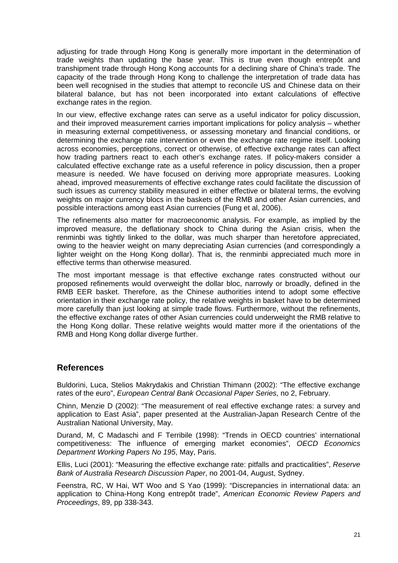adjusting for trade through Hong Kong is generally more important in the determination of trade weights than updating the base year. This is true even though entrepôt and transhipment trade through Hong Kong accounts for a declining share of China's trade. The capacity of the trade through Hong Kong to challenge the interpretation of trade data has been well recognised in the studies that attempt to reconcile US and Chinese data on their bilateral balance, but has not been incorporated into extant calculations of effective exchange rates in the region.

In our view, effective exchange rates can serve as a useful indicator for policy discussion, and their improved measurement carries important implications for policy analysis – whether in measuring external competitiveness, or assessing monetary and financial conditions, or determining the exchange rate intervention or even the exchange rate regime itself. Looking across economies, perceptions, correct or otherwise, of effective exchange rates can affect how trading partners react to each other's exchange rates. If policy-makers consider a calculated effective exchange rate as a useful reference in policy discussion, then a proper measure is needed. We have focused on deriving more appropriate measures. Looking ahead, improved measurements of effective exchange rates could facilitate the discussion of such issues as currency stability measured in either effective or bilateral terms, the evolving weights on major currency blocs in the baskets of the RMB and other Asian currencies, and possible interactions among east Asian currencies (Fung et al, 2006).

The refinements also matter for macroeconomic analysis. For example, as implied by the improved measure, the deflationary shock to China during the Asian crisis, when the renminbi was tightly linked to the dollar, was much sharper than heretofore appreciated, owing to the heavier weight on many depreciating Asian currencies (and correspondingly a lighter weight on the Hong Kong dollar). That is, the renminbi appreciated much more in effective terms than otherwise measured.

The most important message is that effective exchange rates constructed without our proposed refinements would overweight the dollar bloc, narrowly or broadly, defined in the RMB EER basket. Therefore, as the Chinese authorities intend to adopt some effective orientation in their exchange rate policy, the relative weights in basket have to be determined more carefully than just looking at simple trade flows. Furthermore, without the refinements, the effective exchange rates of other Asian currencies could underweight the RMB relative to the Hong Kong dollar. These relative weights would matter more if the orientations of the RMB and Hong Kong dollar diverge further.

## **References**

Buldorini, Luca, Stelios Makrydakis and Christian Thimann (2002): "The effective exchange rates of the euro", *European Central Bank Occasional Paper Series,* no 2, February.

Chinn, Menzie D (2002): "The measurement of real effective exchange rates: a survey and application to East Asia", paper presented at the Australian-Japan Research Centre of the Australian National University, May.

Durand, M, C Madaschi and F Terribile (1998): "Trends in OECD countries' international competitiveness: The influence of emerging market economies", *OECD Economics Department Working Papers No 195*, May, Paris.

Ellis, Luci (2001): "Measuring the effective exchange rate: pitfalls and practicalities", *Reserve Bank of Australia Research Discussion Paper*, no 2001-04, August, Sydney.

Feenstra, RC, W Hai, WT Woo and S Yao (1999): "Discrepancies in international data: an application to China-Hong Kong entrepôt trade", *American Economic Review Papers and Proceedings*, 89, pp 338-343.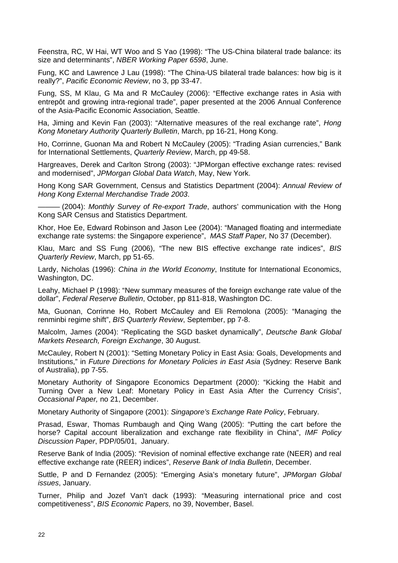Feenstra, RC, W Hai, WT Woo and S Yao (1998): "The US-China bilateral trade balance: its size and determinants", *NBER Working Paper 6598*, June.

Fung, KC and Lawrence J Lau (1998): "The China-US bilateral trade balances: how big is it really?", *Pacific Economic Review*, no 3, pp 33-47.

Fung, SS, M Klau, G Ma and R McCauley (2006): "Effective exchange rates in Asia with entrepôt and growing intra-regional trade", paper presented at the 2006 Annual Conference of the Asia-Pacific Economic Association, Seattle.

Ha, Jiming and Kevin Fan (2003): "Alternative measures of the real exchange rate", *Hong Kong Monetary Authority Quarterly Bulletin*, March, pp 16-21, Hong Kong.

Ho, Corrinne, Guonan Ma and Robert N McCauley (2005): "Trading Asian currencies," Bank for International Settlements, *Quarterly Review*, March, pp 49-58.

Hargreaves, Derek and Carlton Strong (2003): "JPMorgan effective exchange rates: revised and modernised", *JPMorgan Global Data Watch*, May, New York.

Hong Kong SAR Government, Census and Statistics Department (2004): *Annual Review of Hong Kong External Merchandise Trade 2003*.

——— (2004): *Monthly Survey of Re-export Trade*, authors' communication with the Hong Kong SAR Census and Statistics Department.

Khor, Hoe Ee, Edward Robinson and Jason Lee (2004): "Managed floating and intermediate exchange rate systems: the Singapore experience", *MAS Staff Paper,* No 37 (December).

Klau, Marc and SS Fung (2006), "The new BIS effective exchange rate indices", *BIS Quarterly Review*, March, pp 51-65.

Lardy, Nicholas (1996): *China in the World Economy*, Institute for International Economics, Washington, DC.

Leahy, Michael P (1998): "New summary measures of the foreign exchange rate value of the dollar", *Federal Reserve Bulletin*, October, pp 811-818, Washington DC.

Ma, Guonan, Corrinne Ho, Robert McCauley and Eli Remolona (2005): "Managing the renminbi regime shift", *BIS Quarterly Review*, September, pp 7-8.

Malcolm, James (2004): "Replicating the SGD basket dynamically", *Deutsche Bank Global Markets Research, Foreign Exchange*, 30 August.

McCauley, Robert N (2001): "Setting Monetary Policy in East Asia: Goals, Developments and Institutions," in *Future Directions for Monetary Policies in East Asia* (Sydney: Reserve Bank of Australia), pp 7-55.

Monetary Authority of Singapore Economics Department (2000): "Kicking the Habit and Turning Over a New Leaf: Monetary Policy in East Asia After the Currency Crisis", *Occasional Paper,* no 21, December.

Monetary Authority of Singapore (2001): *Singapore's Exchange Rate Policy*, February.

Prasad, Eswar, Thomas Rumbaugh and Qing Wang (2005): "Putting the cart before the horse? Capital account liberalization and exchange rate flexibility in China", *IMF Policy Discussion Paper*, PDP/05/01, January.

Reserve Bank of India (2005): "Revision of nominal effective exchange rate (NEER) and real effective exchange rate (REER) indices", *Reserve Bank of India Bulletin*, December.

Suttle, P and D Fernandez (2005): "Emerging Asia's monetary future", *JPMorgan Global issues*, January.

Turner, Philip and Jozef Van't dack (1993): "Measuring international price and cost competitiveness", *BIS Economic Papers,* no 39, November, Basel.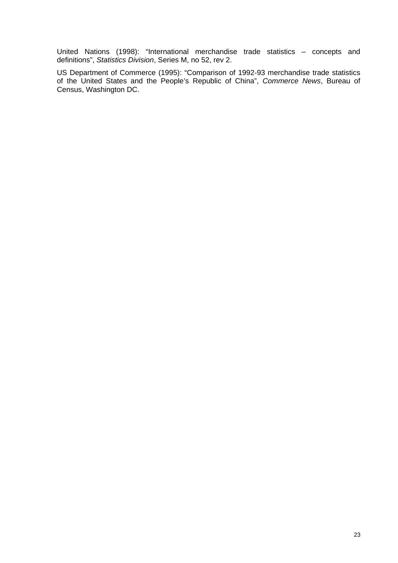United Nations (1998): "International merchandise trade statistics – concepts and definitions", *Statistics Division*, Series M, no 52, rev 2.

US Department of Commerce (1995): "Comparison of 1992-93 merchandise trade statistics of the United States and the People's Republic of China", *Commerce News*, Bureau of Census, Washington DC.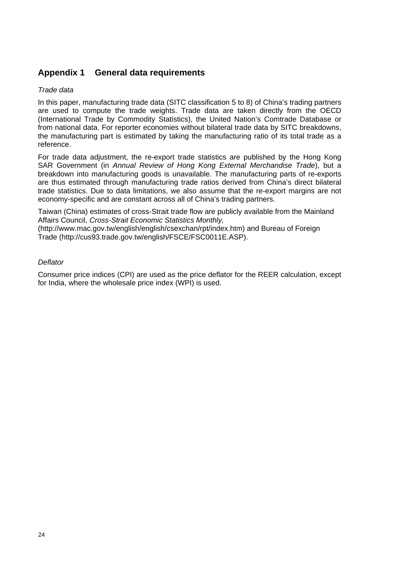## **Appendix 1 General data requirements**

### *Trade data*

In this paper, manufacturing trade data (SITC classification 5 to 8) of China's trading partners are used to compute the trade weights. Trade data are taken directly from the OECD (International Trade by Commodity Statistics), the United Nation's Comtrade Database or from national data. For reporter economies without bilateral trade data by SITC breakdowns, the manufacturing part is estimated by taking the manufacturing ratio of its total trade as a reference.

For trade data adjustment, the re-export trade statistics are published by the Hong Kong SAR Government (in *Annual Review of Hong Kong External Merchandise Trade*), but a breakdown into manufacturing goods is unavailable. The manufacturing parts of re-exports are thus estimated through manufacturing trade ratios derived from China's direct bilateral trade statistics. Due to data limitations, we also assume that the re-export margins are not economy-specific and are constant across all of China's trading partners.

Taiwan (China) estimates of cross-Strait trade flow are publicly available from the Mainland Affairs Council, *Cross-Strait Economic Statistics Monthly,* 

(http://www.mac.gov.tw/english/english/csexchan/rpt/index.htm) and Bureau of Foreign Trade (http://cus93.trade.gov.tw/english/FSCE/FSC0011E.ASP).

### *Deflator*

Consumer price indices (CPI) are used as the price deflator for the REER calculation, except for India, where the wholesale price index (WPI) is used.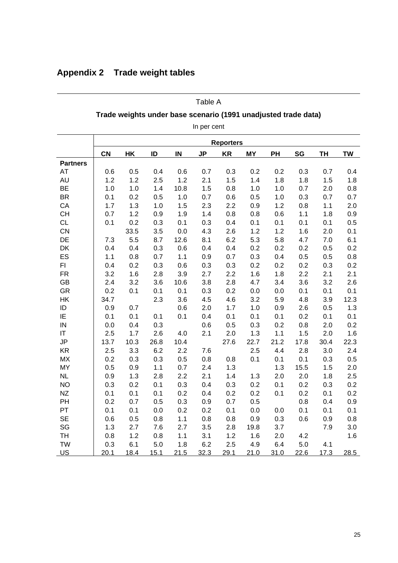|                 | Trade weights under base scenario (1991 unadjusted trade data) |                  |      |      |             |           |           |      |      |           |           |
|-----------------|----------------------------------------------------------------|------------------|------|------|-------------|-----------|-----------|------|------|-----------|-----------|
|                 |                                                                |                  |      |      | In per cent |           |           |      |      |           |           |
|                 |                                                                | <b>Reporters</b> |      |      |             |           |           |      |      |           |           |
|                 | <b>CN</b>                                                      | HK               | ID   | IN   | <b>JP</b>   | <b>KR</b> | <b>MY</b> | PH   | SG   | <b>TH</b> | <b>TW</b> |
| <b>Partners</b> |                                                                |                  |      |      |             |           |           |      |      |           |           |
| <b>AT</b>       | 0.6                                                            | 0.5              | 0.4  | 0.6  | 0.7         | 0.3       | 0.2       | 0.2  | 0.3  | 0.7       | 0.4       |
| AU              | 1.2                                                            | 1.2              | 2.5  | 1.2  | 2.1         | 1.5       | 1.4       | 1.8  | 1.8  | 1.5       | 1.8       |
| <b>BE</b>       | 1.0                                                            | 1.0              | 1.4  | 10.8 | 1.5         | 0.8       | 1.0       | 1.0  | 0.7  | 2.0       | 0.8       |
| <b>BR</b>       | 0.1                                                            | 0.2              | 0.5  | 1.0  | 0.7         | 0.6       | 0.5       | 1.0  | 0.3  | 0.7       | 0.7       |
| CA              | 1.7                                                            | 1.3              | 1.0  | 1.5  | 2.3         | 2.2       | 0.9       | 1.2  | 0.8  | 1.1       | 2.0       |
| <b>CH</b>       | 0.7                                                            | 1.2              | 0.9  | 1.9  | 1.4         | 0.8       | 0.8       | 0.6  | 1.1  | 1.8       | 0.9       |
| <b>CL</b>       | 0.1                                                            | 0.2              | 0.3  | 0.1  | 0.3         | 0.4       | 0.1       | 0.1  | 0.1  | 0.1       | 0.5       |
| CN              |                                                                | 33.5             | 3.5  | 0.0  | 4.3         | 2.6       | 1.2       | 1.2  | 1.6  | 2.0       | 0.1       |
| DE              | 7.3                                                            | 5.5              | 8.7  | 12.6 | 8.1         | 6.2       | 5.3       | 5.8  | 4.7  | 7.0       | 6.1       |
| DK              | 0.4                                                            | 0.4              | 0.3  | 0.6  | 0.4         | 0.4       | 0.2       | 0.2  | 0.2  | 0.5       | 0.2       |
| ES              | 1.1                                                            | 0.8              | 0.7  | 1.1  | 0.9         | 0.7       | 0.3       | 0.4  | 0.5  | 0.5       | 0.8       |
| FI.             | 0.4                                                            | 0.2              | 0.3  | 0.6  | 0.3         | 0.3       | 0.2       | 0.2  | 0.2  | 0.3       | 0.2       |
| <b>FR</b>       | 3.2                                                            | 1.6              | 2.8  | 3.9  | 2.7         | 2.2       | 1.6       | 1.8  | 2.2  | 2.1       | 2.1       |
| GB              | 2.4                                                            | 3.2              | 3.6  | 10.6 | 3.8         | 2.8       | 4.7       | 3.4  | 3.6  | 3.2       | 2.6       |
| GR              | 0.2                                                            | 0.1              | 0.1  | 0.1  | 0.3         | 0.2       | 0.0       | 0.0  | 0.1  | 0.1       | 0.1       |
| HK              | 34.7                                                           |                  | 2.3  | 3.6  | 4.5         | 4.6       | 3.2       | 5.9  | 4.8  | 3.9       | 12.3      |
| ID              | 0.9                                                            | 0.7              |      | 0.6  | 2.0         | 1.7       | 1.0       | 0.9  | 2.6  | 0.5       | 1.3       |
| IE              | 0.1                                                            | 0.1              | 0.1  | 0.1  | 0.4         | 0.1       | 0.1       | 0.1  | 0.2  | 0.1       | 0.1       |
| IN              | 0.0                                                            | 0.4              | 0.3  |      | 0.6         | 0.5       | 0.3       | 0.2  | 0.8  | 2.0       | 0.2       |
| IT              | 2.5                                                            | 1.7              | 2.6  | 4.0  | 2.1         | 2.0       | 1.3       | 1.1  | 1.5  | 2.0       | 1.6       |
| JP              | 13.7                                                           | 10.3             | 26.8 | 10.4 |             | 27.6      | 22.7      | 21.2 | 17.8 | 30.4      | 22.3      |
| <b>KR</b>       | 2.5                                                            | 3.3              | 6.2  | 2.2  | 7.6         |           | 2.5       | 4.4  | 2.8  | 3.0       | 2.4       |
| <b>MX</b>       | 0.2                                                            | 0.3              | 0.3  | 0.5  | 0.8         | 0.8       | 0.1       | 0.1  | 0.1  | 0.3       | 0.5       |
| <b>MY</b>       | 0.5                                                            | 0.9              | 1.1  | 0.7  | 2.4         | 1.3       |           | 1.3  | 15.5 | 1.5       | 2.0       |
| <b>NL</b>       | 0.9                                                            | 1.3              | 2.8  | 2.2  | 2.1         | 1.4       | 1.3       | 2.0  | 2.0  | 1.8       | 2.5       |
| <b>NO</b>       | 0.3                                                            | 0.2              | 0.1  | 0.3  | 0.4         | 0.3       | 0.2       | 0.1  | 0.2  | 0.3       | 0.2       |
| NZ              | 0.1                                                            | 0.1              | 0.1  | 0.2  | 0.4         | 0.2       | 0.2       | 0.1  | 0.2  | 0.1       | 0.2       |
| PH              | 0.2                                                            | 0.7              | 0.5  | 0.3  | 0.9         | 0.7       | 0.5       |      | 0.8  | 0.4       | 0.9       |
| PT              | 0.1                                                            | 0.1              | 0.0  | 0.2  | 0.2         | 0.1       | 0.0       | 0.0  | 0.1  | 0.1       | 0.1       |
| <b>SE</b>       | 0.6                                                            | 0.5              | 0.8  | 1.1  | 0.8         | 0.8       | 0.9       | 0.3  | 0.6  | 0.9       | 0.8       |
| SG              | 1.3                                                            | 2.7              | 7.6  | 2.7  | 3.5         | 2.8       | 19.8      | 3.7  |      | 7.9       | 3.0       |
| TH              | 0.8                                                            | 1.2              | 0.8  | 1.1  | 3.1         | 1.2       | 1.6       | 2.0  | 4.2  |           | 1.6       |
| <b>TW</b>       | 0.3                                                            | 6.1              | 5.0  | 1.8  | 6.2         | 2.5       | 4.9       | 6.4  | 5.0  | 4.1       |           |
| <b>US</b>       | 20.1                                                           | 18.4             | 15.1 | 21.5 | 32.3        | 29.1      | 21.0      | 31.0 | 22.6 | 17.3      | 28.5      |

Table A

## **Appendix 2 Trade weight tables**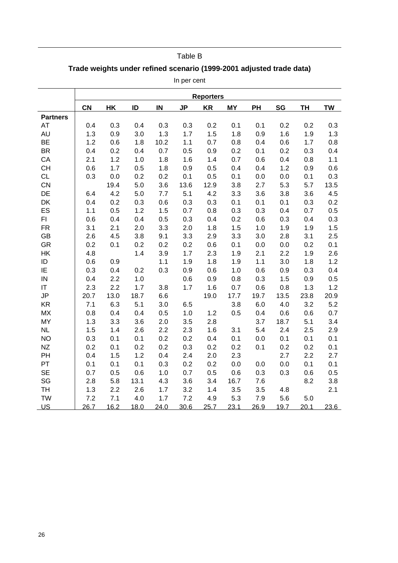## Table B

## **Trade weights under refined scenario (1999-2001 adjusted trade data)**

In per cent

|                 |           |      |      |      |           | <b>Reporters</b> |           |      |      |           |           |
|-----------------|-----------|------|------|------|-----------|------------------|-----------|------|------|-----------|-----------|
|                 | <b>CN</b> | HK   | ID   | IN   | <b>JP</b> | <b>KR</b>        | <b>MY</b> | PH   | SG   | <b>TH</b> | <b>TW</b> |
| <b>Partners</b> |           |      |      |      |           |                  |           |      |      |           |           |
| AT              | 0.4       | 0.3  | 0.4  | 0.3  | 0.3       | 0.2              | 0.1       | 0.1  | 0.2  | 0.2       | 0.3       |
| AU              | 1.3       | 0.9  | 3.0  | 1.3  | 1.7       | 1.5              | 1.8       | 0.9  | 1.6  | 1.9       | 1.3       |
| <b>BE</b>       | 1.2       | 0.6  | 1.8  | 10.2 | 1.1       | 0.7              | 0.8       | 0.4  | 0.6  | 1.7       | 0.8       |
| <b>BR</b>       | 0.4       | 0.2  | 0.4  | 0.7  | 0.5       | 0.9              | 0.2       | 0.1  | 0.2  | 0.3       | 0.4       |
| CA              | 2.1       | 1.2  | 1.0  | 1.8  | 1.6       | 1.4              | 0.7       | 0.6  | 0.4  | 0.8       | 1.1       |
| <b>CH</b>       | 0.6       | 1.7  | 0.5  | 1.8  | 0.9       | 0.5              | 0.4       | 0.4  | 1.2  | 0.9       | 0.6       |
| <b>CL</b>       | 0.3       | 0.0  | 0.2  | 0.2  | 0.1       | 0.5              | 0.1       | 0.0  | 0.0  | 0.1       | 0.3       |
| CN              |           | 19.4 | 5.0  | 3.6  | 13.6      | 12.9             | 3.8       | 2.7  | 5.3  | 5.7       | 13.5      |
| DE              | 6.4       | 4.2  | 5.0  | 7.7  | 5.1       | 4.2              | 3.3       | 3.6  | 3.8  | 3.6       | 4.5       |
| DK              | 0.4       | 0.2  | 0.3  | 0.6  | 0.3       | 0.3              | 0.1       | 0.1  | 0.1  | 0.3       | 0.2       |
| ES              | 1.1       | 0.5  | 1.2  | 1.5  | 0.7       | 0.8              | 0.3       | 0.3  | 0.4  | 0.7       | 0.5       |
| FI              | 0.6       | 0.4  | 0.4  | 0.5  | 0.3       | 0.4              | 0.2       | 0.6  | 0.3  | 0.4       | 0.3       |
| <b>FR</b>       | 3.1       | 2.1  | 2.0  | 3.3  | 2.0       | 1.8              | 1.5       | 1.0  | 1.9  | 1.9       | 1.5       |
| GB              | 2.6       | 4.5  | 3.8  | 9.1  | 3.3       | 2.9              | 3.3       | 3.0  | 2.8  | 3.1       | 2.5       |
| GR              | 0.2       | 0.1  | 0.2  | 0.2  | 0.2       | 0.6              | 0.1       | 0.0  | 0.0  | 0.2       | 0.1       |
| HK              | 4.8       |      | 1.4  | 3.9  | 1.7       | 2.3              | 1.9       | 2.1  | 2.2  | 1.9       | 2.6       |
| ID              | 0.6       | 0.9  |      | 1.1  | 1.9       | 1.8              | 1.9       | 1.1  | 3.0  | 1.8       | 1.2       |
| IE              | 0.3       | 0.4  | 0.2  | 0.3  | 0.9       | 0.6              | 1.0       | 0.6  | 0.9  | 0.3       | 0.4       |
| IN              | 0.4       | 2.2  | 1.0  |      | 0.6       | 0.9              | 0.8       | 0.3  | 1.5  | 0.9       | 0.5       |
| IT              | 2.3       | 2.2  | 1.7  | 3.8  | 1.7       | 1.6              | 0.7       | 0.6  | 0.8  | 1.3       | 1.2       |
| JP              | 20.7      | 13.0 | 18.7 | 6.6  |           | 19.0             | 17.7      | 19.7 | 13.5 | 23.8      | 20.9      |
| <b>KR</b>       | 7.1       | 6.3  | 5.1  | 3.0  | 6.5       |                  | 3.8       | 6.0  | 4.0  | 3.2       | 5.2       |
| <b>MX</b>       | 0.8       | 0.4  | 0.4  | 0.5  | 1.0       | 1.2              | 0.5       | 0.4  | 0.6  | 0.6       | 0.7       |
| <b>MY</b>       | 1.3       | 3.3  | 3.6  | 2.0  | 3.5       | 2.8              |           | 3.7  | 18.7 | 5.1       | 3.4       |
| <b>NL</b>       | 1.5       | 1.4  | 2.6  | 2.2  | 2.3       | 1.6              | 3.1       | 5.4  | 2.4  | 2.5       | 2.9       |
| <b>NO</b>       | 0.3       | 0.1  | 0.1  | 0.2  | 0.2       | 0.4              | 0.1       | 0.0  | 0.1  | 0.1       | 0.1       |
| <b>NZ</b>       | 0.2       | 0.1  | 0.2  | 0.2  | 0.3       | 0.2              | 0.2       | 0.1  | 0.2  | 0.2       | 0.1       |
| PH              | 0.4       | 1.5  | 1.2  | 0.4  | 2.4       | 2.0              | 2.3       |      | 2.7  | 2.2       | 2.7       |
| PT              | 0.1       | 0.1  | 0.1  | 0.3  | 0.2       | 0.2              | 0.0       | 0.0  | 0.0  | 0.1       | 0.1       |
| <b>SE</b>       | 0.7       | 0.5  | 0.6  | 1.0  | 0.7       | 0.5              | 0.6       | 0.3  | 0.3  | 0.6       | 0.5       |
| SG              | 2.8       | 5.8  | 13.1 | 4.3  | 3.6       | 3.4              | 16.7      | 7.6  |      | 8.2       | 3.8       |
| <b>TH</b>       | 1.3       | 2.2  | 2.6  | 1.7  | 3.2       | 1.4              | 3.5       | 3.5  | 4.8  |           | 2.1       |
| <b>TW</b>       | 7.2       | 7.1  | 4.0  | 1.7  | 7.2       | 4.9              | 5.3       | 7.9  | 5.6  | 5.0       |           |
| <u>US</u>       | 26.7      | 16.2 | 18.0 | 24.0 | 30.6      | 25.7             | 23.1      | 26.9 | 19.7 | 20.1      | 23.6      |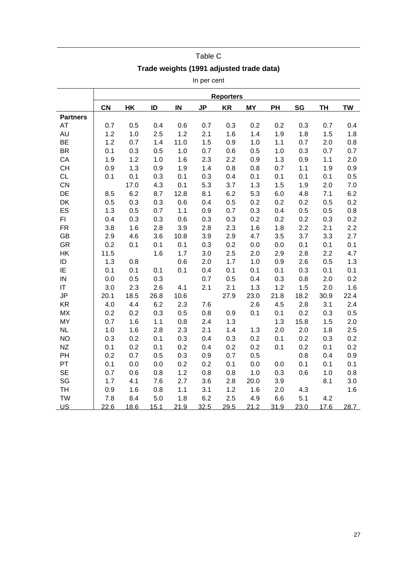|                 |           |      |       |      | In per cent |                  |           |      |      |           |           |
|-----------------|-----------|------|-------|------|-------------|------------------|-----------|------|------|-----------|-----------|
|                 |           |      |       |      |             | <b>Reporters</b> |           |      |      |           |           |
|                 | <b>CN</b> | HK   | ID    | IN   | <b>JP</b>   | <b>KR</b>        | <b>MY</b> | PH   | SG   | <b>TH</b> | <b>TW</b> |
| <b>Partners</b> |           |      |       |      |             |                  |           |      |      |           |           |
| <b>AT</b>       | 0.7       | 0.5  | 0.4   | 0.6  | 0.7         | 0.3              | 0.2       | 0.2  | 0.3  | 0.7       | 0.4       |
| <b>AU</b>       | 1.2       | 1.0  | 2.5   | 1.2  | 2.1         | 1.6              | 1.4       | 1.9  | 1.8  | 1.5       | 1.8       |
| <b>BE</b>       | 1.2       | 0.7  | 1.4   | 11.0 | 1.5         | 0.9              | 1.0       | 1.1  | 0.7  | 2.0       | 0.8       |
| <b>BR</b>       | 0.1       | 0.3  | 0.5   | 1.0  | 0.7         | 0.6              | 0.5       | 1.0  | 0.3  | 0.7       | 0.7       |
| CA              | 1.9       | 1.2  | 1.0   | 1.6  | 2.3         | 2.2              | 0.9       | 1.3  | 0.9  | 1.1       | 2.0       |
| <b>CH</b>       | 0.9       | 1.3  | 0.9   | 1.9  | 1.4         | 0.8              | 0.8       | 0.7  | 1.1  | 1.9       | 0.9       |
| <b>CL</b>       | 0.1       | 0.1  | 0.3   | 0.1  | 0.3         | 0.4              | 0.1       | 0.1  | 0.1  | 0.1       | 0.5       |
| CN              |           | 17.0 | 4.3   | 0.1  | 5.3         | 3.7              | 1.3       | 1.5  | 1.9  | 2.0       | 7.0       |
| DE              | 8.5       | 6.2  | 8.7   | 12.8 | 8.1         | 6.2              | 5.3       | 6.0  | 4.8  | 7.1       | 6.2       |
| DK              | 0.5       | 0.3  | 0.3   | 0.6  | 0.4         | 0.5              | 0.2       | 0.2  | 0.2  | 0.5       | 0.2       |
| ES              | 1.3       | 0.5  | 0.7   | 1.1  | 0.9         | 0.7              | 0.3       | 0.4  | 0.5  | 0.5       | 0.8       |
| FI.             | 0.4       | 0.3  | 0.3   | 0.6  | 0.3         | 0.3              | 0.2       | 0.2  | 0.2  | 0.3       | 0.2       |
| <b>FR</b>       | 3.8       | 1.6  | 2.8   | 3.9  | 2.8         | 2.3              | 1.6       | 1.8  | 2.2  | 2.1       | 2.2       |
| <b>GB</b>       | 2.9       | 4.6  | 3.6   | 10.8 | 3.9         | 2.9              | 4.7       | 3.5  | 3.7  | 3.3       | 2.7       |
| <b>GR</b>       | 0.2       | 0.1  | 0.1   | 0.1  | 0.3         | 0.2              | 0.0       | 0.0  | 0.1  | 0.1       | 0.1       |
| HK              | 11.5      |      | 1.6   | 1.7  | 3.0         | 2.5              | 2.0       | 2.9  | 2.8  | 2.2       | 4.7       |
| ID              | 1.3       | 0.8  |       | 0.6  | 2.0         | 1.7              | 1.0       | 0.9  | 2.6  | 0.5       | 1.3       |
| IE              | 0.1       | 0.1  | 0.1   | 0.1  | 0.4         | 0.1              | 0.1       | 0.1  | 0.3  | 0.1       | 0.1       |
| IN              | 0.0       | 0.5  | 0.3   |      | 0.7         | 0.5              | 0.4       | 0.3  | 0.8  | 2.0       | 0.2       |
| IT              | 3.0       | 2.3  | 2.6   | 4.1  | 2.1         | 2.1              | 1.3       | 1.2  | 1.5  | 2.0       | 1.6       |
| JP              | 20.1      | 18.5 | 26.8  | 10.6 |             | 27.9             | 23.0      | 21.8 | 18.2 | 30.9      | 22.4      |
| <b>KR</b>       | 4.0       | 4.4  | 6.2   | 2.3  | 7.6         |                  | 2.6       | 4.5  | 2.8  | 3.1       | 2.4       |
| <b>MX</b>       | 0.2       | 0.2  | 0.3   | 0.5  | 0.8         | 0.9              | 0.1       | 0.1  | 0.2  | 0.3       | 0.5       |
| <b>MY</b>       | 0.7       | 1.6  | $1.1$ | 0.8  | 2.4         | 1.3              |           | 1.3  | 15.8 | 1.5       | 2.0       |
| <b>NL</b>       | 1.0       | 1.6  | 2.8   | 2.3  | 2.1         | 1.4              | 1.3       | 2.0  | 2.0  | 1.8       | 2.5       |
| <b>NO</b>       | 0.3       | 0.2  | 0.1   | 0.3  | 0.4         | 0.3              | 0.2       | 0.1  | 0.2  | 0.3       | 0.2       |
| <b>NZ</b>       | 0.1       | 0.2  | 0.1   | 0.2  | 0.4         | 0.2              | 0.2       | 0.1  | 0.2  | 0.1       | 0.2       |
| PH              | 0.2       | 0.7  | 0.5   | 0.3  | 0.9         | 0.7              | 0.5       |      | 0.8  | 0.4       | 0.9       |
| PT              | 0.1       | 0.0  | 0.0   | 0.2  | 0.2         | 0.1              | 0.0       | 0.0  | 0.1  | 0.1       | 0.1       |
| <b>SE</b>       | 0.7       | 0.6  | 0.8   | 1.2  | 0.8         | 0.8              | 1.0       | 0.3  | 0.6  | 1.0       | 0.8       |
| SG              | 1.7       | 4.1  | 7.6   | 2.7  | 3.6         | 2.8              | 20.0      | 3.9  |      | 8.1       | 3.0       |
| TH              | 0.9       | 1.6  | 0.8   | 1.1  | 3.1         | 1.2              | 1.6       | 2.0  | 4.3  |           | 1.6       |
| <b>TW</b>       | 7.8       | 8.4  | 5.0   | 1.8  | 6.2         | 2.5              | 4.9       | 6.6  | 5.1  | 4.2       |           |
| U <sub>S</sub>  | 22.6      | 18.6 | 15.1  | 21.9 | 32.5        | 29.5             | 21.2      | 31.9 | 23.0 | 17.6      | 28.7      |

## Table C **Trade weights (1991 adjusted trade data)**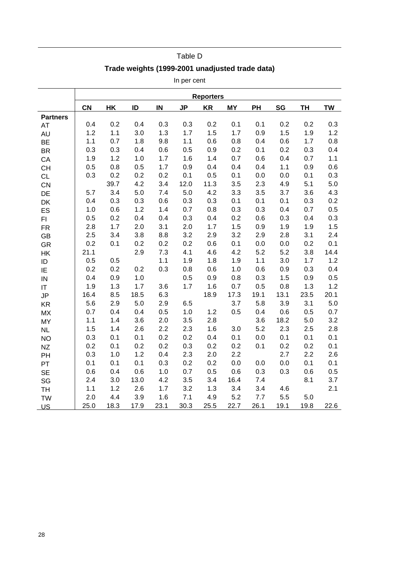## Table D

## **Trade weights (1999-2001 unadjusted trade data)**

In per cent

|                 |           |      |      |      |           | <b>Reporters</b> |           |      |      |           |           |
|-----------------|-----------|------|------|------|-----------|------------------|-----------|------|------|-----------|-----------|
|                 | <b>CN</b> | HK   | ID   | IN   | <b>JP</b> | <b>KR</b>        | <b>MY</b> | PH   | SG   | <b>TH</b> | <b>TW</b> |
| <b>Partners</b> |           |      |      |      |           |                  |           |      |      |           |           |
| <b>AT</b>       | 0.4       | 0.2  | 0.4  | 0.3  | 0.3       | 0.2              | 0.1       | 0.1  | 0.2  | 0.2       | 0.3       |
| <b>AU</b>       | 1.2       | 1.1  | 3.0  | 1.3  | 1.7       | 1.5              | 1.7       | 0.9  | 1.5  | 1.9       | 1.2       |
| <b>BE</b>       | 1.1       | 0.7  | 1.8  | 9.8  | 1.1       | 0.6              | 0.8       | 0.4  | 0.6  | 1.7       | 0.8       |
| <b>BR</b>       | 0.3       | 0.3  | 0.4  | 0.6  | 0.5       | 0.9              | 0.2       | 0.1  | 0.2  | 0.3       | 0.4       |
| CA              | 1.9       | 1.2  | 1.0  | 1.7  | 1.6       | 1.4              | 0.7       | 0.6  | 0.4  | 0.7       | 1.1       |
| <b>CH</b>       | 0.5       | 0.8  | 0.5  | 1.7  | 0.9       | 0.4              | 0.4       | 0.4  | 1.1  | 0.9       | 0.6       |
| <b>CL</b>       | 0.3       | 0.2  | 0.2  | 0.2  | 0.1       | 0.5              | 0.1       | 0.0  | 0.0  | 0.1       | 0.3       |
| CN              |           | 39.7 | 4.2  | 3.4  | 12.0      | 11.3             | 3.5       | 2.3  | 4.9  | 5.1       | 5.0       |
| DE              | 5.7       | 3.4  | 5.0  | 7.4  | 5.0       | 4.2              | 3.3       | 3.5  | 3.7  | 3.6       | 4.3       |
| DK              | 0.4       | 0.3  | 0.3  | 0.6  | 0.3       | 0.3              | 0.1       | 0.1  | 0.1  | 0.3       | 0.2       |
| ES              | 1.0       | 0.6  | 1.2  | 1.4  | 0.7       | 0.8              | 0.3       | 0.3  | 0.4  | 0.7       | 0.5       |
| FI              | 0.5       | 0.2  | 0.4  | 0.4  | 0.3       | 0.4              | 0.2       | 0.6  | 0.3  | 0.4       | 0.3       |
| <b>FR</b>       | 2.8       | 1.7  | 2.0  | 3.1  | 2.0       | 1.7              | 1.5       | 0.9  | 1.9  | 1.9       | 1.5       |
| <b>GB</b>       | 2.5       | 3.4  | 3.8  | 8.8  | 3.2       | 2.9              | 3.2       | 2.9  | 2.8  | 3.1       | 2.4       |
| GR              | 0.2       | 0.1  | 0.2  | 0.2  | 0.2       | 0.6              | 0.1       | 0.0  | 0.0  | 0.2       | 0.1       |
| HK              | 21.1      |      | 2.9  | 7.3  | 4.1       | 4.6              | 4.2       | 5.2  | 5.2  | 3.8       | 14.4      |
| ID              | 0.5       | 0.5  |      | 1.1  | 1.9       | 1.8              | 1.9       | 1.1  | 3.0  | 1.7       | 1.2       |
| IE              | 0.2       | 0.2  | 0.2  | 0.3  | 0.8       | 0.6              | 1.0       | 0.6  | 0.9  | 0.3       | 0.4       |
| IN              | 0.4       | 0.9  | 1.0  |      | 0.5       | 0.9              | 0.8       | 0.3  | 1.5  | 0.9       | 0.5       |
| IT              | 1.9       | 1.3  | 1.7  | 3.6  | 1.7       | 1.6              | 0.7       | 0.5  | 0.8  | 1.3       | 1.2       |
| JP              | 16.4      | 8.5  | 18.5 | 6.3  |           | 18.9             | 17.3      | 19.1 | 13.1 | 23.5      | 20.1      |
| <b>KR</b>       | 5.6       | 2.9  | 5.0  | 2.9  | 6.5       |                  | 3.7       | 5.8  | 3.9  | 3.1       | 5.0       |
| <b>MX</b>       | 0.7       | 0.4  | 0.4  | 0.5  | 1.0       | 1.2              | 0.5       | 0.4  | 0.6  | 0.5       | 0.7       |
| <b>MY</b>       | 1.1       | 1.4  | 3.6  | 2.0  | 3.5       | 2.8              |           | 3.6  | 18.2 | 5.0       | 3.2       |
| <b>NL</b>       | 1.5       | 1.4  | 2.6  | 2.2  | 2.3       | 1.6              | 3.0       | 5.2  | 2.3  | 2.5       | 2.8       |
| <b>NO</b>       | 0.3       | 0.1  | 0.1  | 0.2  | 0.2       | 0.4              | 0.1       | 0.0  | 0.1  | 0.1       | 0.1       |
| <b>NZ</b>       | 0.2       | 0.1  | 0.2  | 0.2  | 0.3       | 0.2              | 0.2       | 0.1  | 0.2  | 0.2       | 0.1       |
| PH              | 0.3       | 1.0  | 1.2  | 0.4  | 2.3       | 2.0              | 2.2       |      | 2.7  | 2.2       | 2.6       |
| PT              | 0.1       | 0.1  | 0.1  | 0.3  | 0.2       | 0.2              | 0.0       | 0.0  | 0.0  | 0.1       | 0.1       |
| <b>SE</b>       | 0.6       | 0.4  | 0.6  | 1.0  | 0.7       | 0.5              | 0.6       | 0.3  | 0.3  | 0.6       | 0.5       |
| SG              | 2.4       | 3.0  | 13.0 | 4.2  | 3.5       | 3.4              | 16.4      | 7.4  |      | 8.1       | 3.7       |
| <b>TH</b>       | 1.1       | 1.2  | 2.6  | 1.7  | 3.2       | 1.3              | 3.4       | 3.4  | 4.6  |           | 2.1       |
| <b>TW</b>       | 2.0       | 4.4  | 3.9  | 1.6  | 7.1       | 4.9              | 5.2       | 7.7  | 5.5  | 5.0       |           |
| US              | 25.0      | 18.3 | 17.9 | 23.1 | 30.3      | 25.5             | 22.7      | 26.1 | 19.1 | 19.8      | 22.6      |